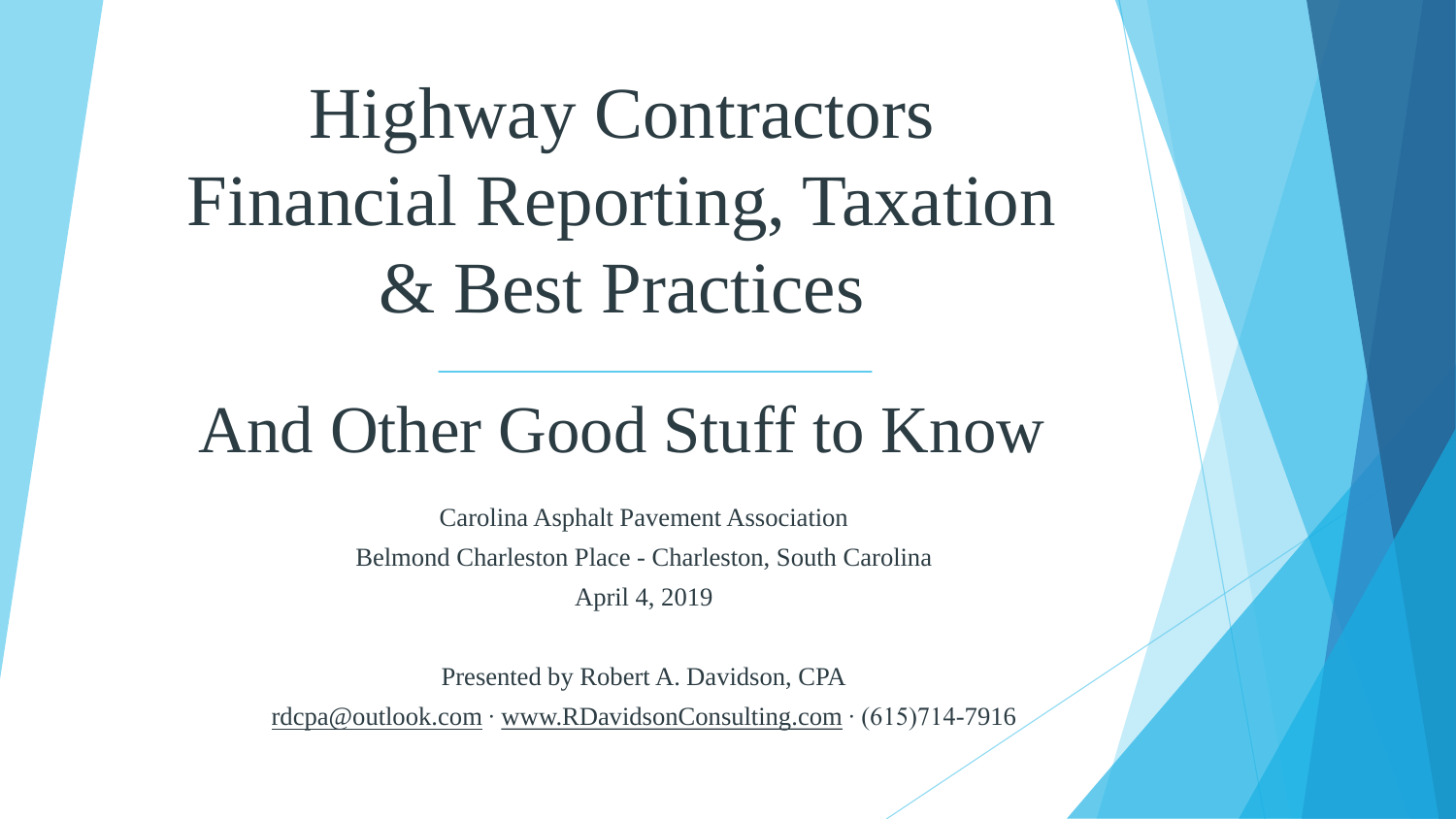### Highway Contractors Financial Reporting, Taxation & Best Practices

### And Other Good Stuff to Know

Carolina Asphalt Pavement Association Belmond Charleston Place - Charleston, South Carolina April 4, 2019

Presented by Robert A. Davidson, CPA

[rdcpa@outlook.com](mailto:rdcpa@outlook.com) ∙ [www.RDavidsonConsulting.com](http://www.rdavidsonconsulting.com/) ∙ (615)714-7916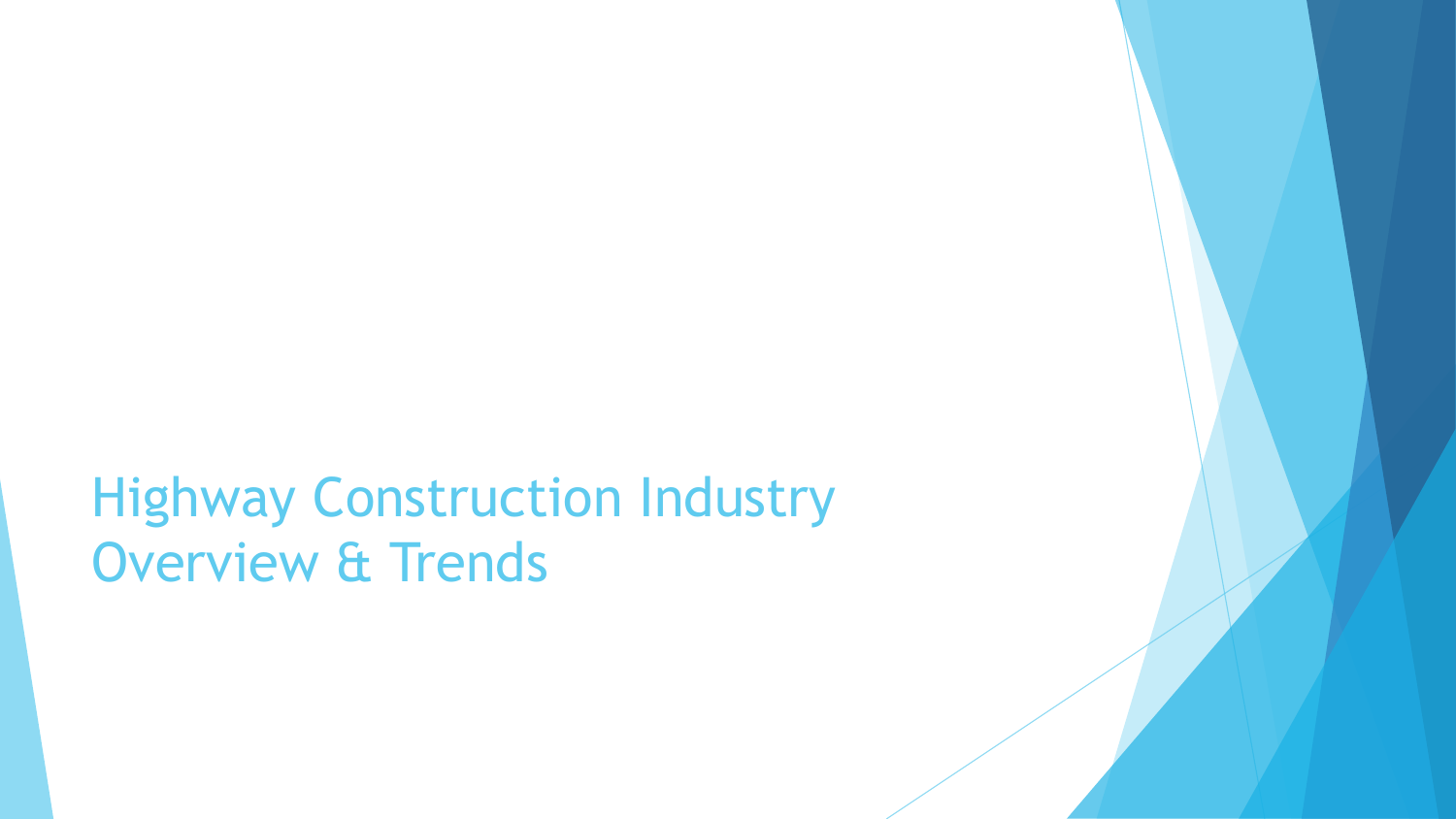Highway Construction Industry Overview & Trends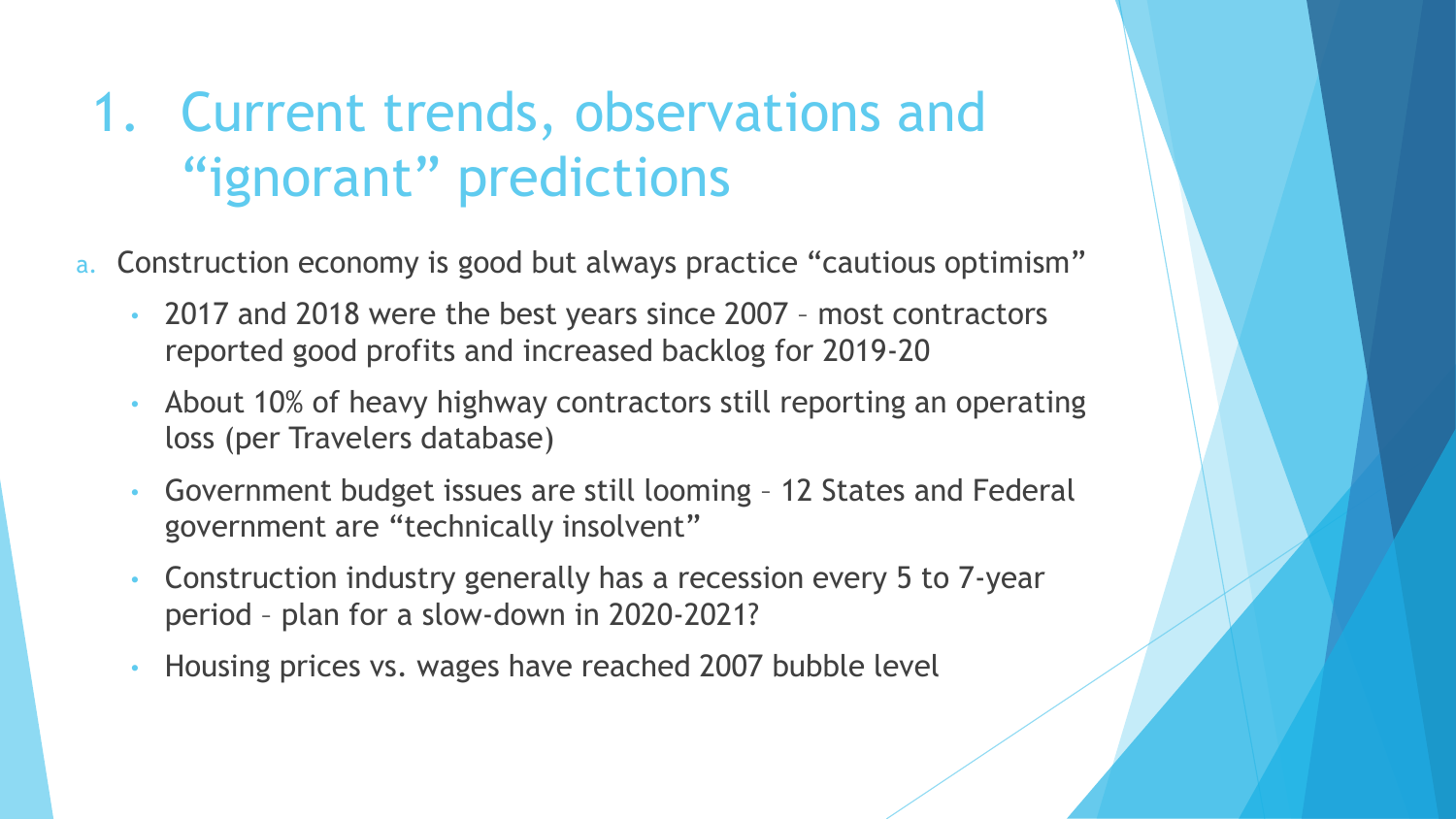### 1. Current trends, observations and "ignorant" predictions

- a. Construction economy is good but always practice "cautious optimism"
	- 2017 and 2018 were the best years since 2007 most contractors reported good profits and increased backlog for 2019-20
	- About 10% of heavy highway contractors still reporting an operating loss (per Travelers database)
	- Government budget issues are still looming 12 States and Federal government are "technically insolvent"
	- Construction industry generally has a recession every 5 to 7-year period – plan for a slow-down in 2020-2021?
	- Housing prices vs. wages have reached 2007 bubble level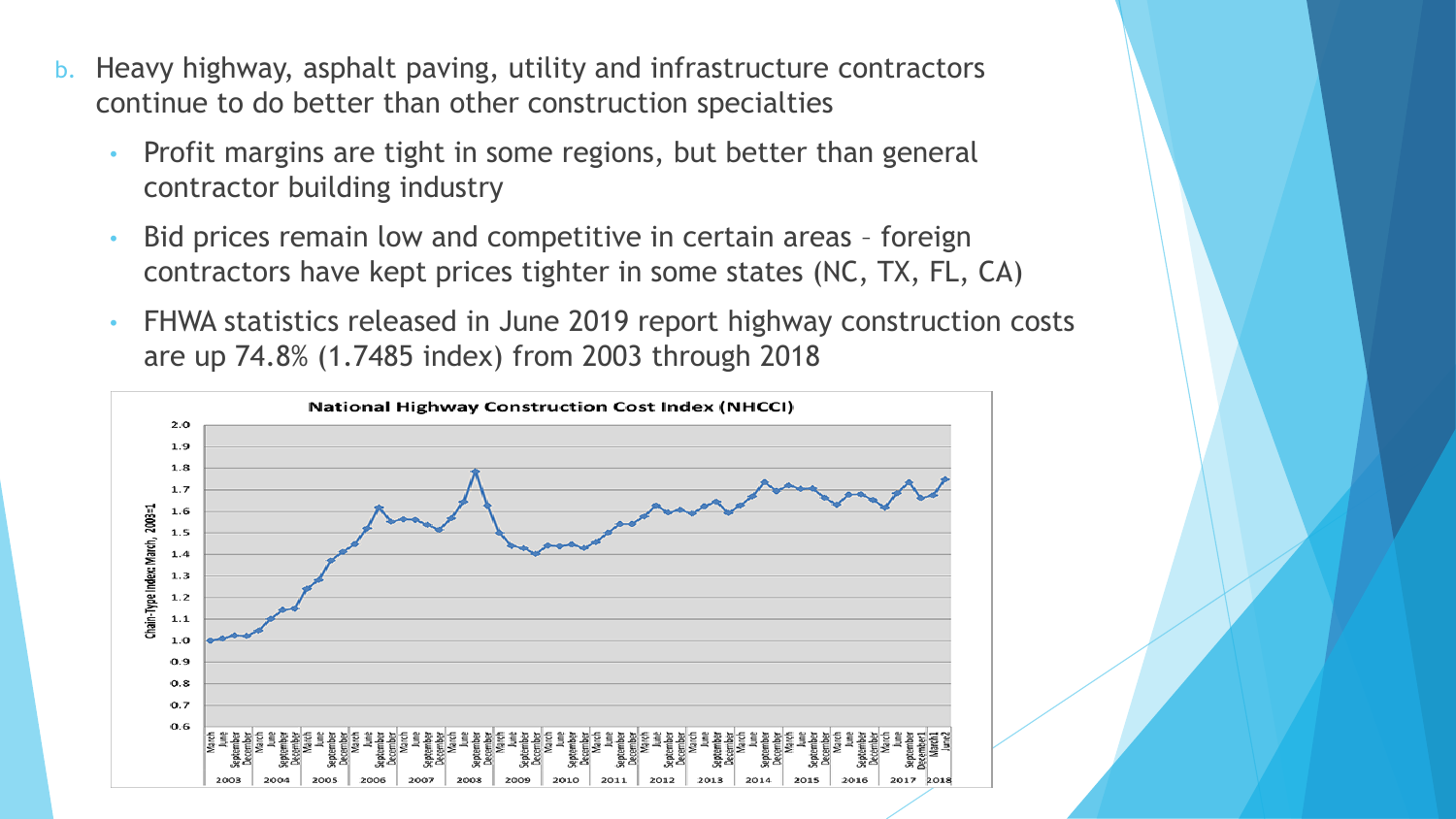- b. Heavy highway, asphalt paving, utility and infrastructure contractors continue to do better than other construction specialties
	- Profit margins are tight in some regions, but better than general contractor building industry
	- Bid prices remain low and competitive in certain areas foreign contractors have kept prices tighter in some states (NC, TX, FL, CA)
	- FHWA statistics released in June 2019 report highway construction costs are up 74.8% (1.7485 index) from 2003 through 2018

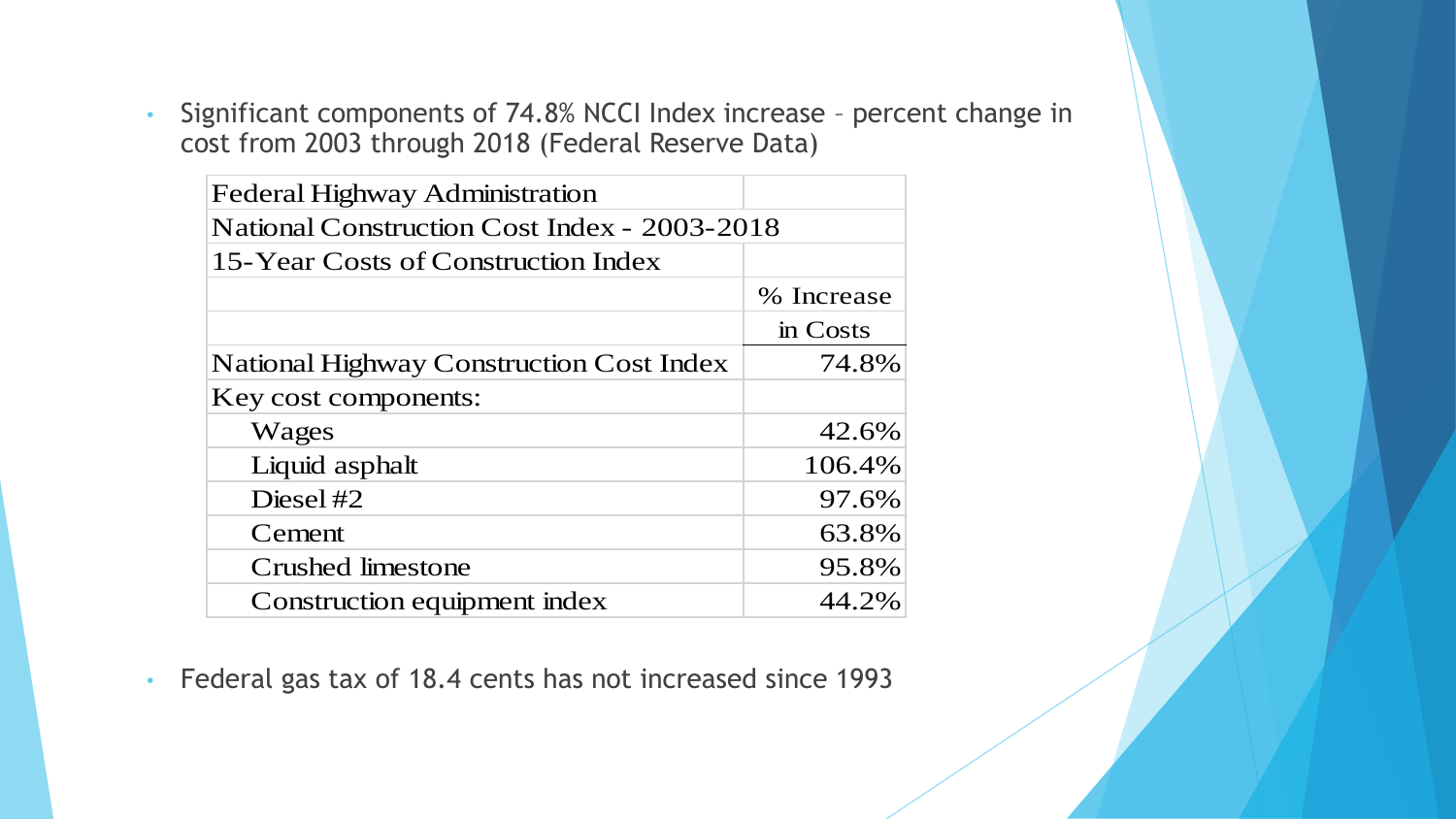• Significant components of 74.8% NCCI Index increase – percent change in cost from 2003 through 2018 (Federal Reserve Data)

| <b>Federal Highway Administration</b>           |            |  |  |  |  |
|-------------------------------------------------|------------|--|--|--|--|
| National Construction Cost Index - 2003-2018    |            |  |  |  |  |
| 15-Year Costs of Construction Index             |            |  |  |  |  |
|                                                 | % Increase |  |  |  |  |
|                                                 | in Costs   |  |  |  |  |
| <b>National Highway Construction Cost Index</b> | 74.8%      |  |  |  |  |
| Key cost components:                            |            |  |  |  |  |
| Wages                                           | 42.6%      |  |  |  |  |
| Liquid asphalt                                  | 106.4%     |  |  |  |  |
| Diesel $#2$                                     | 97.6%      |  |  |  |  |
| Cement                                          | 63.8%      |  |  |  |  |
| Crushed limestone                               | 95.8%      |  |  |  |  |
| Construction equipment index                    | 44.2%      |  |  |  |  |

• Federal gas tax of 18.4 cents has not increased since 1993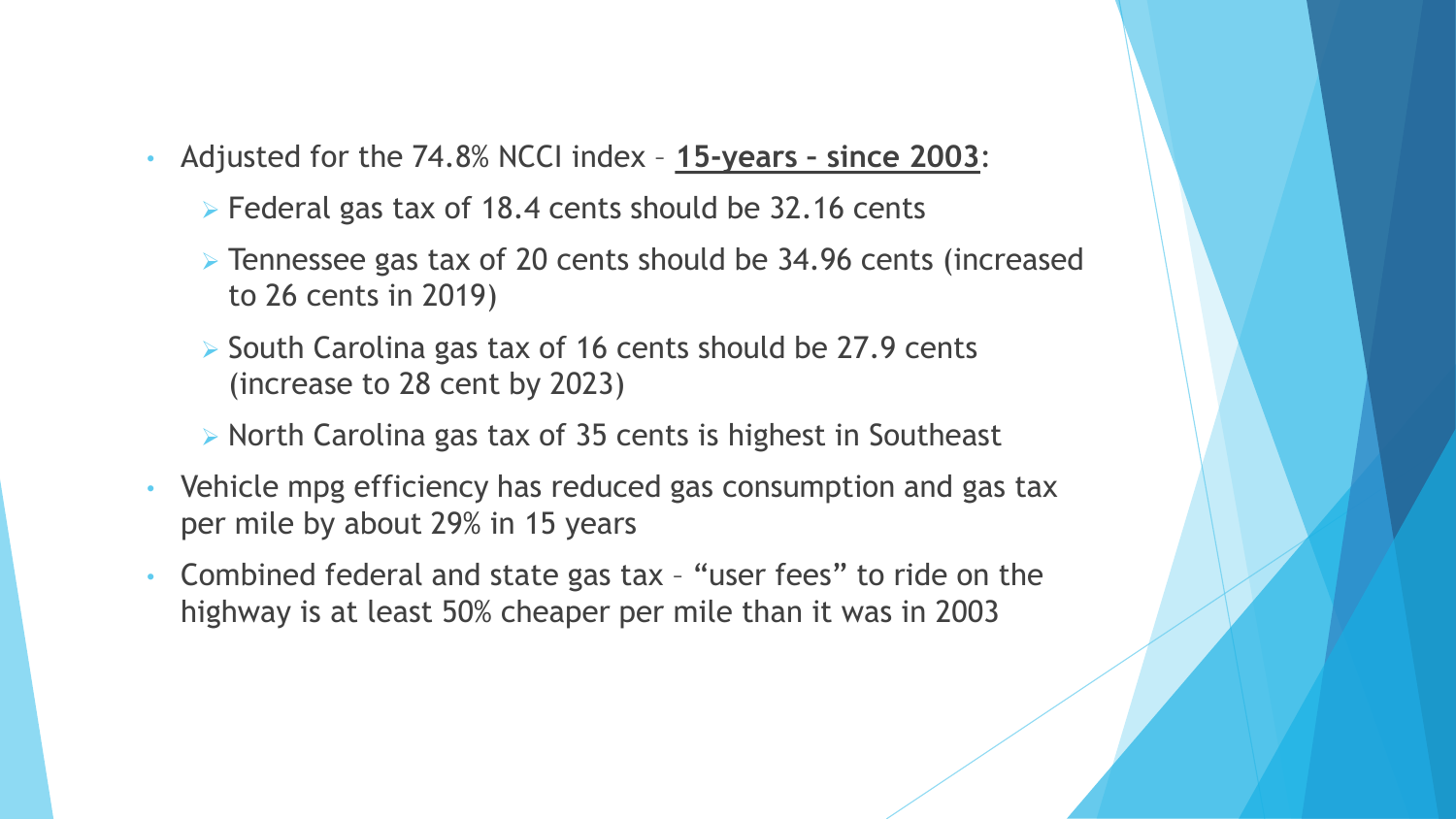- Adjusted for the 74.8% NCCI index **15-years – since 2003**:
	- ➢ Federal gas tax of 18.4 cents should be 32.16 cents
	- ➢ Tennessee gas tax of 20 cents should be 34.96 cents (increased to 26 cents in 2019)
	- ➢ South Carolina gas tax of 16 cents should be 27.9 cents (increase to 28 cent by 2023)
	- ➢ North Carolina gas tax of 35 cents is highest in Southeast
- Vehicle mpg efficiency has reduced gas consumption and gas tax per mile by about 29% in 15 years
- Combined federal and state gas tax "user fees" to ride on the highway is at least 50% cheaper per mile than it was in 2003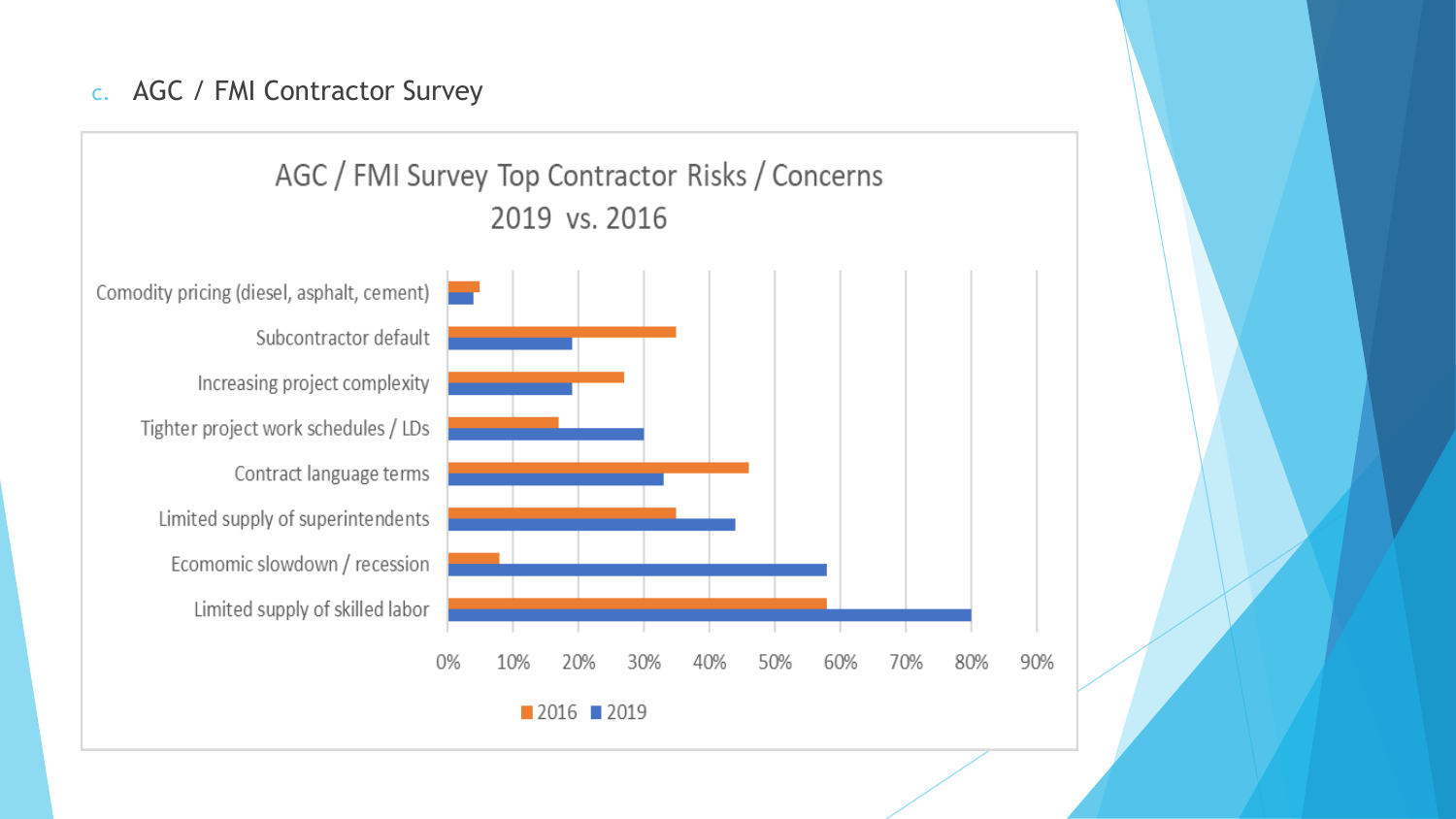#### c. AGC / FMI Contractor Survey

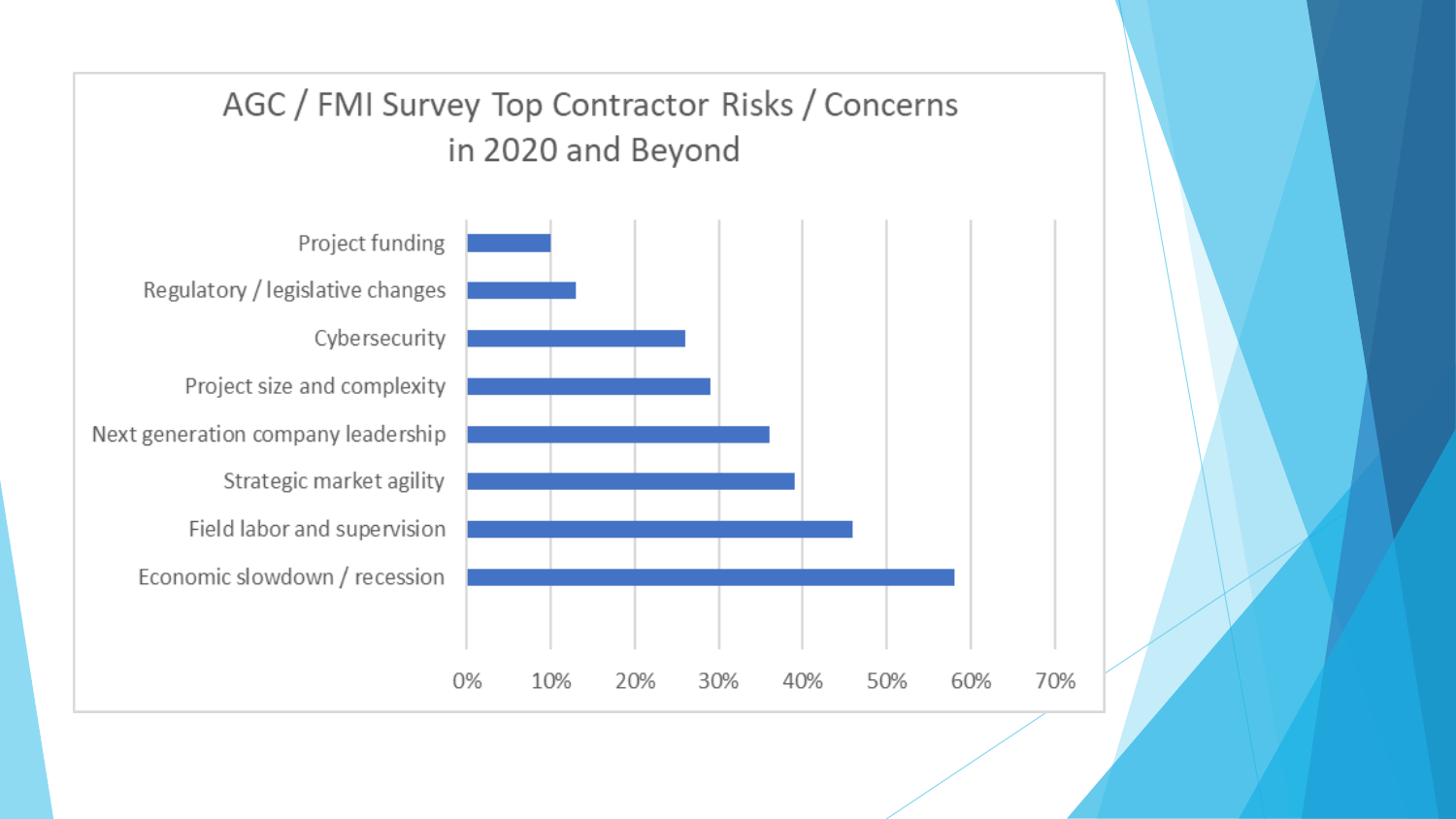![](_page_7_Figure_0.jpeg)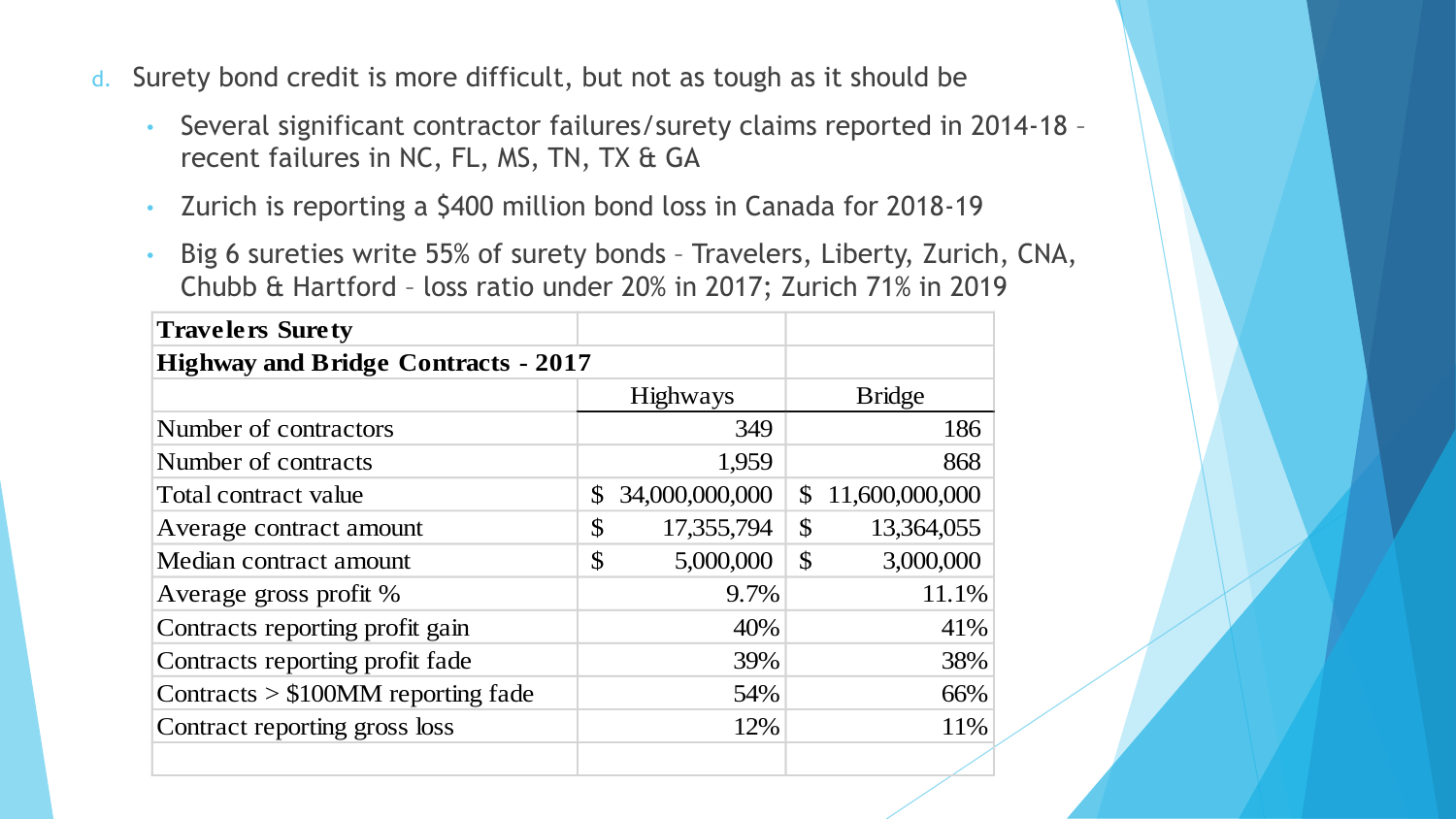- d. Surety bond credit is more difficult, but not as tough as it should be
	- Several significant contractor failures/surety claims reported in 2014-18 recent failures in NC, FL, MS, TN, TX & GA
	- Zurich is reporting a \$400 million bond loss in Canada for 2018-19
	- Big 6 sureties write 55% of surety bonds Travelers, Liberty, Zurich, CNA, Chubb & Hartford – loss ratio under 20% in 2017; Zurich 71% in 2019

| <b>Travelers Surety</b>                    |                             |                                |
|--------------------------------------------|-----------------------------|--------------------------------|
| <b>Highway and Bridge Contracts - 2017</b> |                             |                                |
|                                            | <b>Highways</b>             | <b>Bridge</b>                  |
| Number of contractors                      | 349                         | 186                            |
| Number of contracts                        | 1,959                       | 868                            |
| Total contract value                       | 34,000,000,000<br>\$        | 11,600,000,000<br>$\mathbb{S}$ |
| Average contract amount                    | $\mathcal{S}$<br>17,355,794 | $\mathcal{S}$<br>13,364,055    |
| Median contract amount                     | $\mathcal{S}$<br>5,000,000  | $\mathcal{S}$<br>3,000,000     |
| Average gross profit %                     | 9.7%                        | 11.1%                          |
| Contracts reporting profit gain            | 40%                         | 41%                            |
| Contracts reporting profit fade            | 39%                         | 38%                            |
| Contracts $> $100$ MM reporting fade       | 54%                         | 66%                            |
| Contract reporting gross loss              | 12%                         | 11%                            |
|                                            |                             |                                |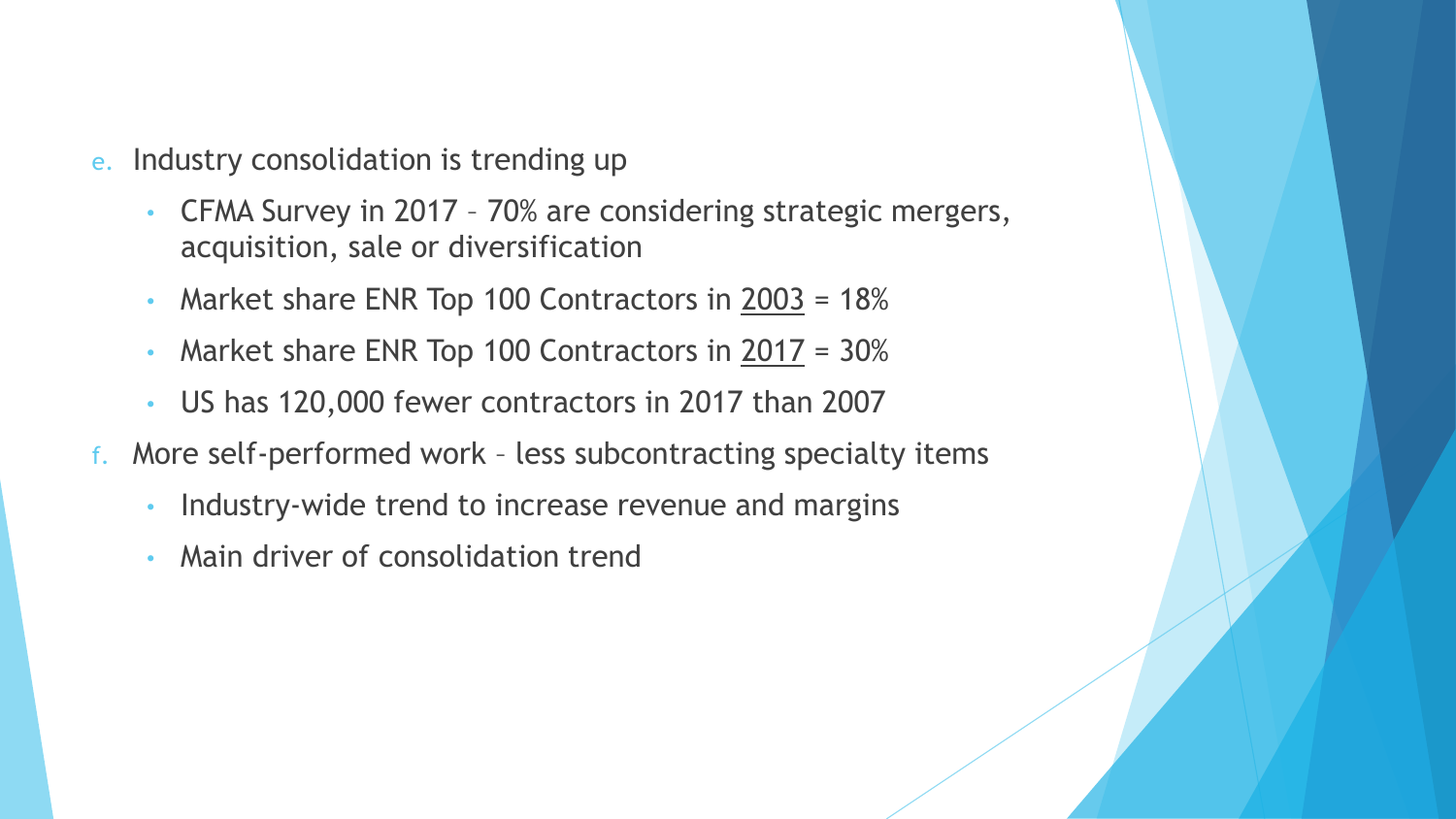- e. Industry consolidation is trending up
	- CFMA Survey in 2017 70% are considering strategic mergers, acquisition, sale or diversification
	- Market share ENR Top 100 Contractors in 2003 = 18%
	- Market share ENR Top 100 Contractors in  $2017 = 30\%$
	- US has 120,000 fewer contractors in 2017 than 2007
- f. More self-performed work less subcontracting specialty items
	- Industry-wide trend to increase revenue and margins
	- Main driver of consolidation trend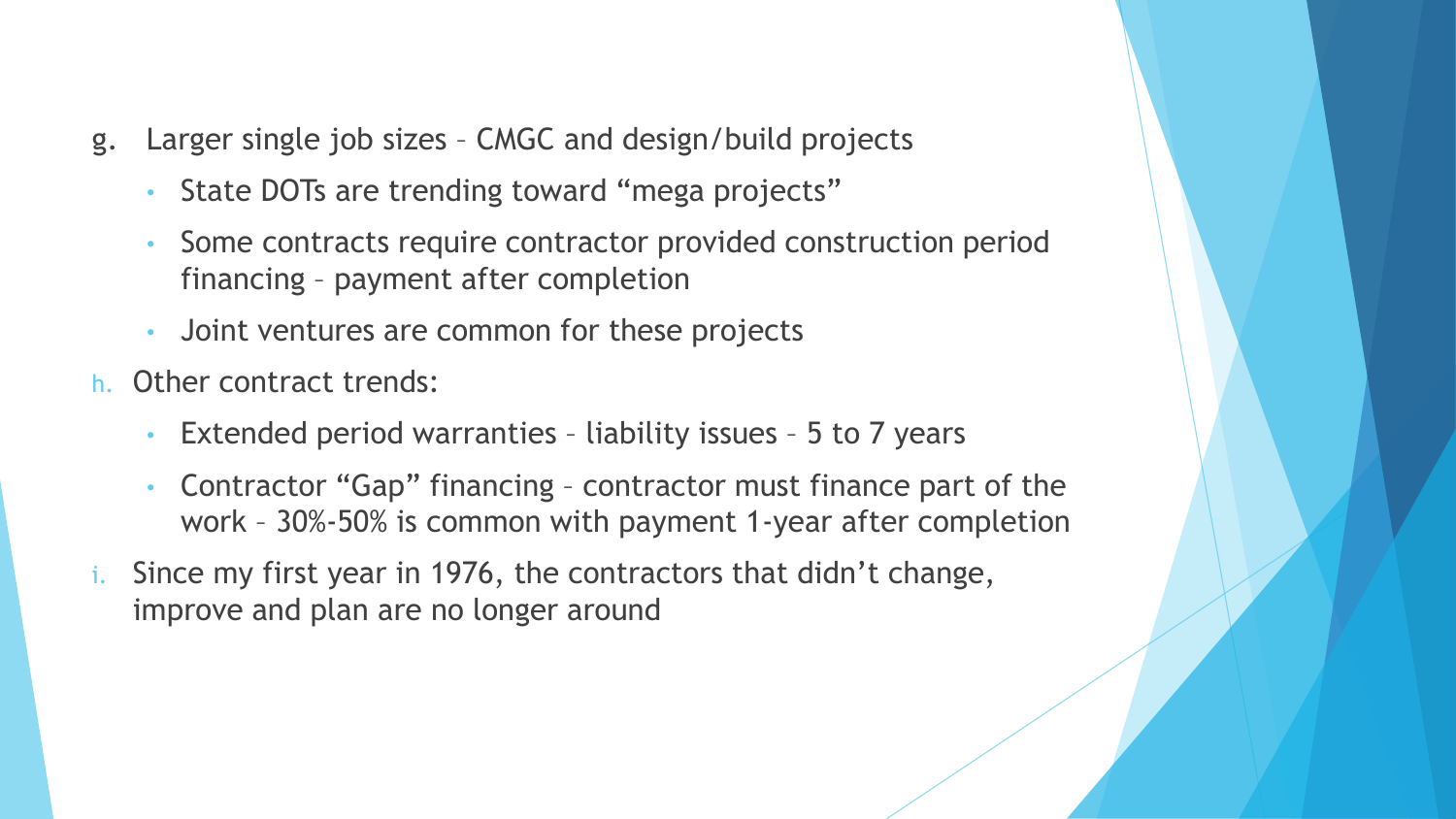- g. Larger single job sizes CMGC and design/build projects
	- State DOTs are trending toward "mega projects"
	- Some contracts require contractor provided construction period financing – payment after completion
	- Joint ventures are common for these projects
- h. Other contract trends:
	- Extended period warranties liability issues 5 to 7 years
	- Contractor "Gap" financing contractor must finance part of the work – 30%-50% is common with payment 1-year after completion
- Since my first year in 1976, the contractors that didn't change, improve and plan are no longer around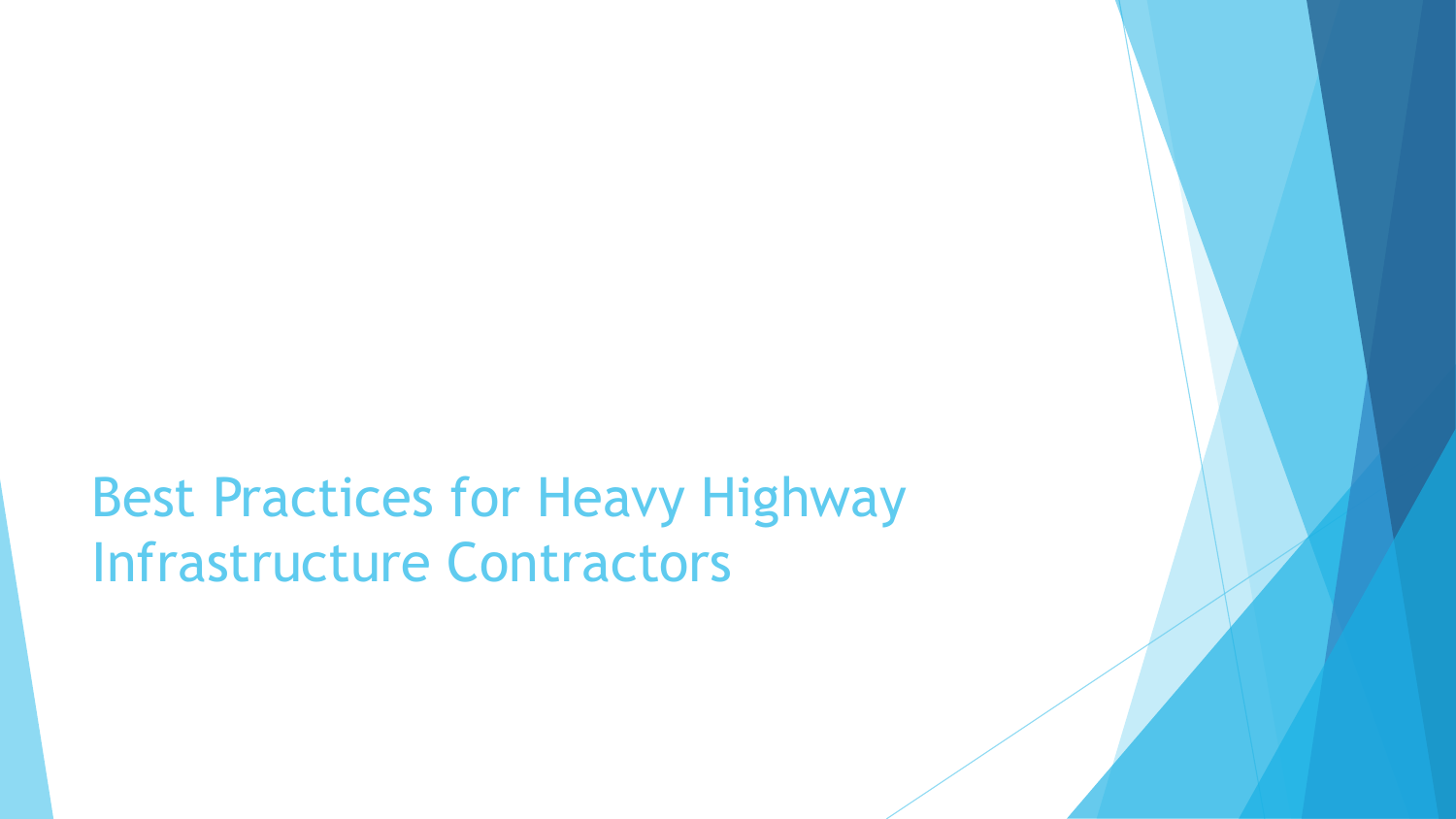Best Practices for Heavy Highway Infrastructure Contractors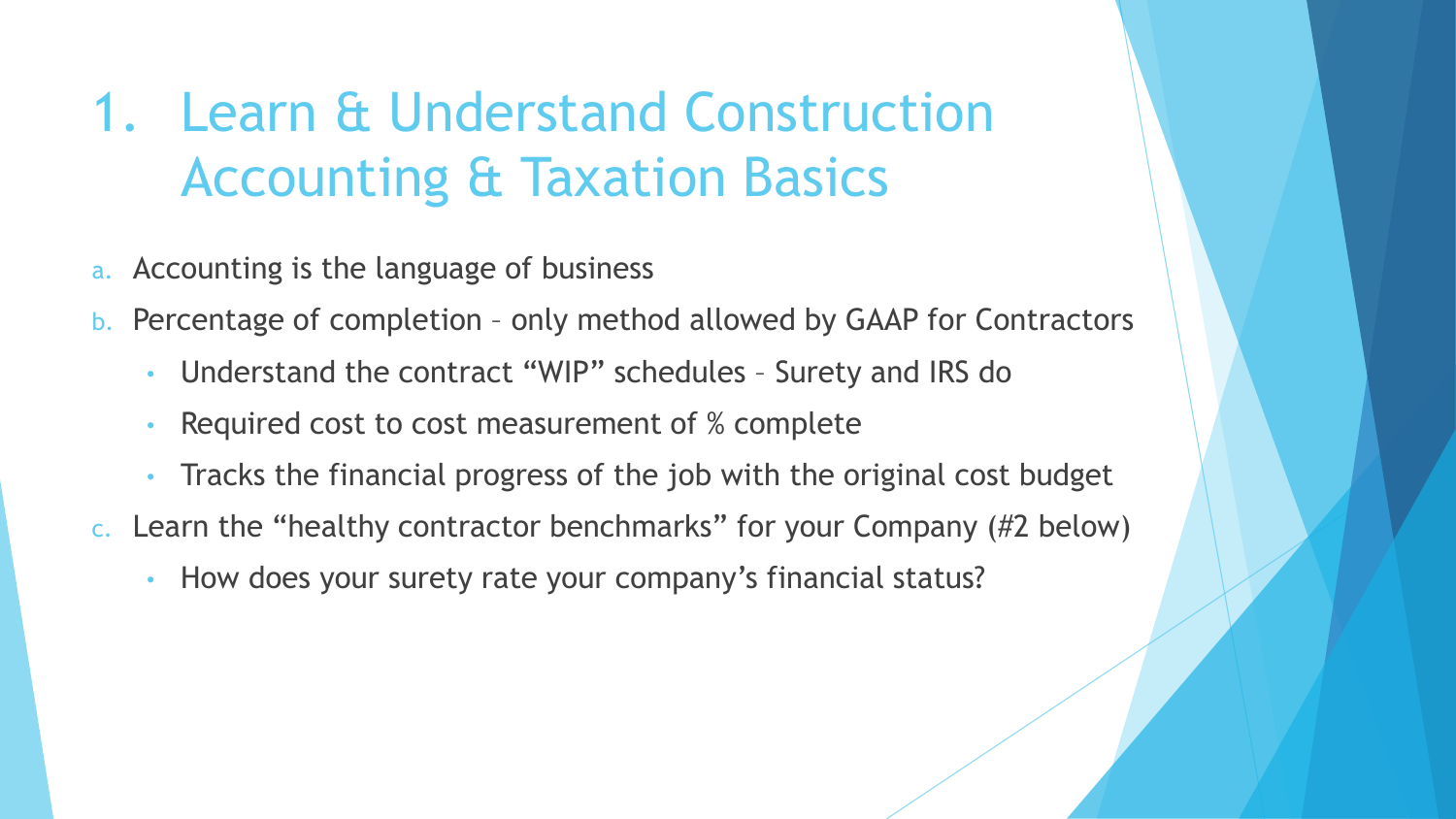### 1. Learn & Understand Construction Accounting & Taxation Basics

- a. Accounting is the language of business
- b. Percentage of completion only method allowed by GAAP for Contractors
	- Understand the contract "WIP" schedules Surety and IRS do
	- Required cost to cost measurement of % complete
	- Tracks the financial progress of the job with the original cost budget
- c. Learn the "healthy contractor benchmarks" for your Company (#2 below)
	- How does your surety rate your company's financial status?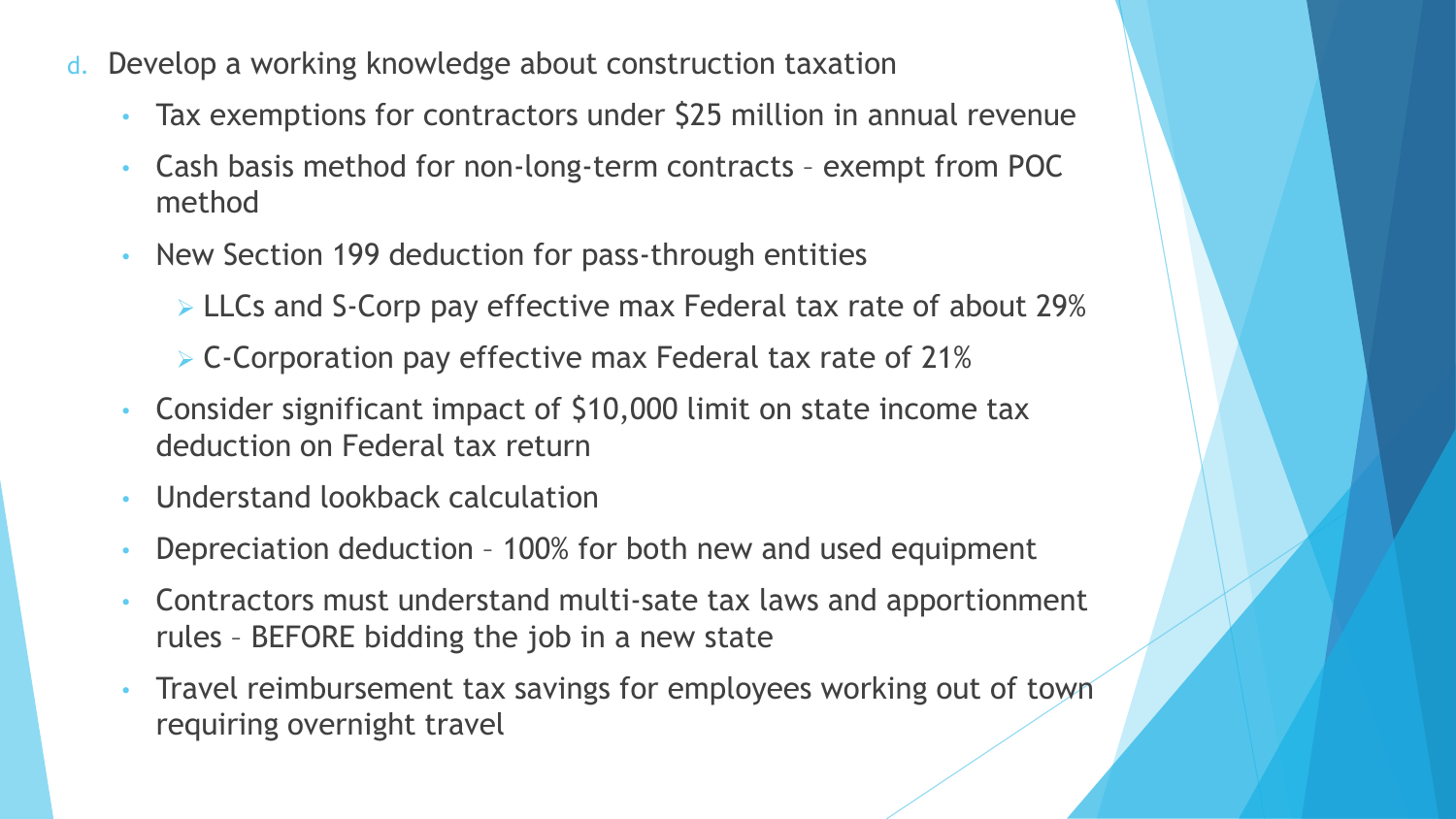- d. Develop a working knowledge about construction taxation
	- Tax exemptions for contractors under \$25 million in annual revenue
	- Cash basis method for non-long-term contracts exempt from POC method
	- New Section 199 deduction for pass-through entities
		- ➢ LLCs and S-Corp pay effective max Federal tax rate of about 29%
		- ➢ C-Corporation pay effective max Federal tax rate of 21%
	- Consider significant impact of \$10,000 limit on state income tax deduction on Federal tax return
	- Understand lookback calculation
	- Depreciation deduction 100% for both new and used equipment
	- Contractors must understand multi-sate tax laws and apportionment rules – BEFORE bidding the job in a new state
	- Travel reimbursement tax savings for employees working out of town requiring overnight travel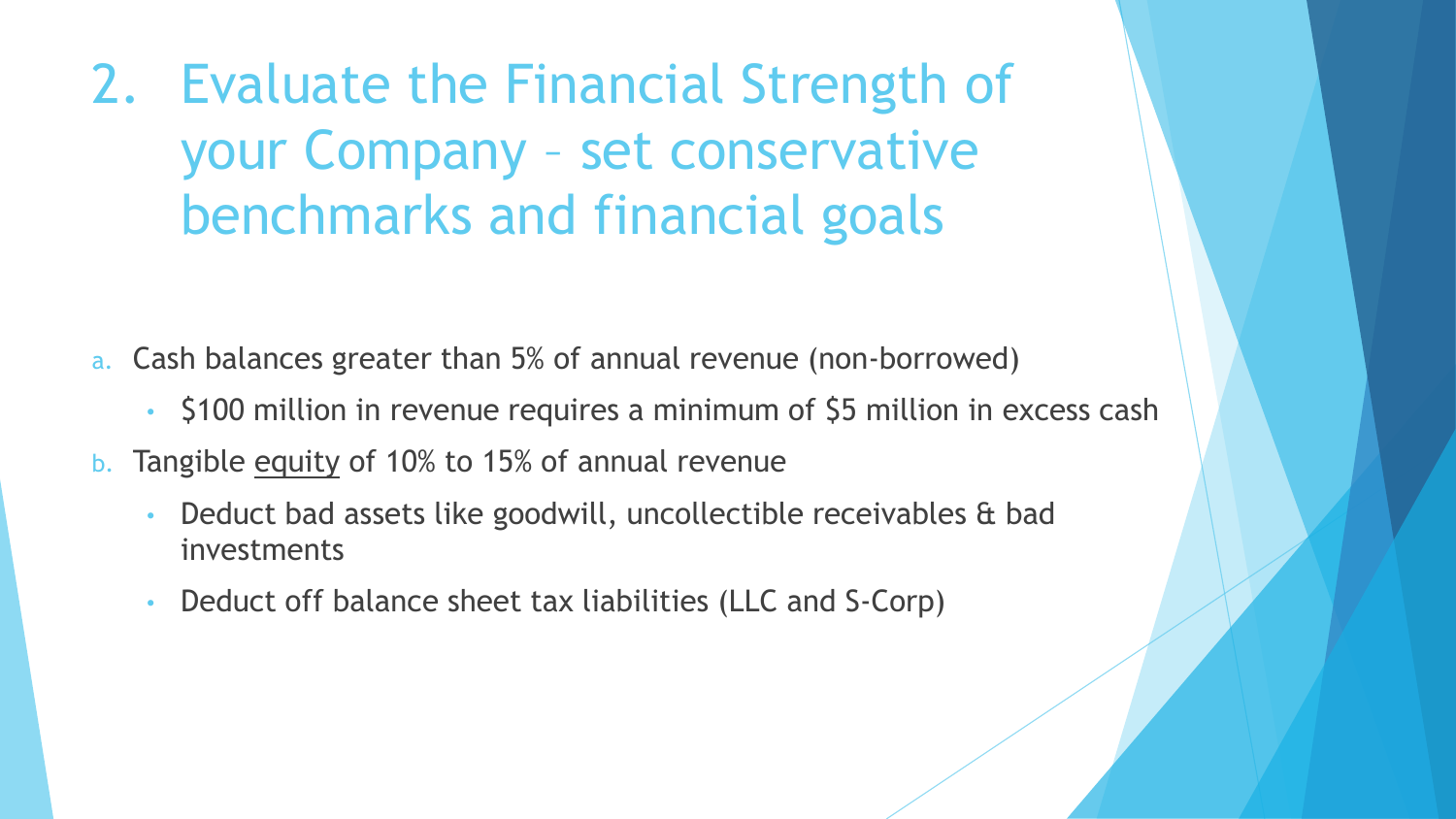2. Evaluate the Financial Strength of your Company – set conservative benchmarks and financial goals

- a. Cash balances greater than 5% of annual revenue (non-borrowed)
	- \$100 million in revenue requires a minimum of \$5 million in excess cash
- b. Tangible equity of 10% to 15% of annual revenue
	- Deduct bad assets like goodwill, uncollectible receivables & bad investments
	- Deduct off balance sheet tax liabilities (LLC and S-Corp)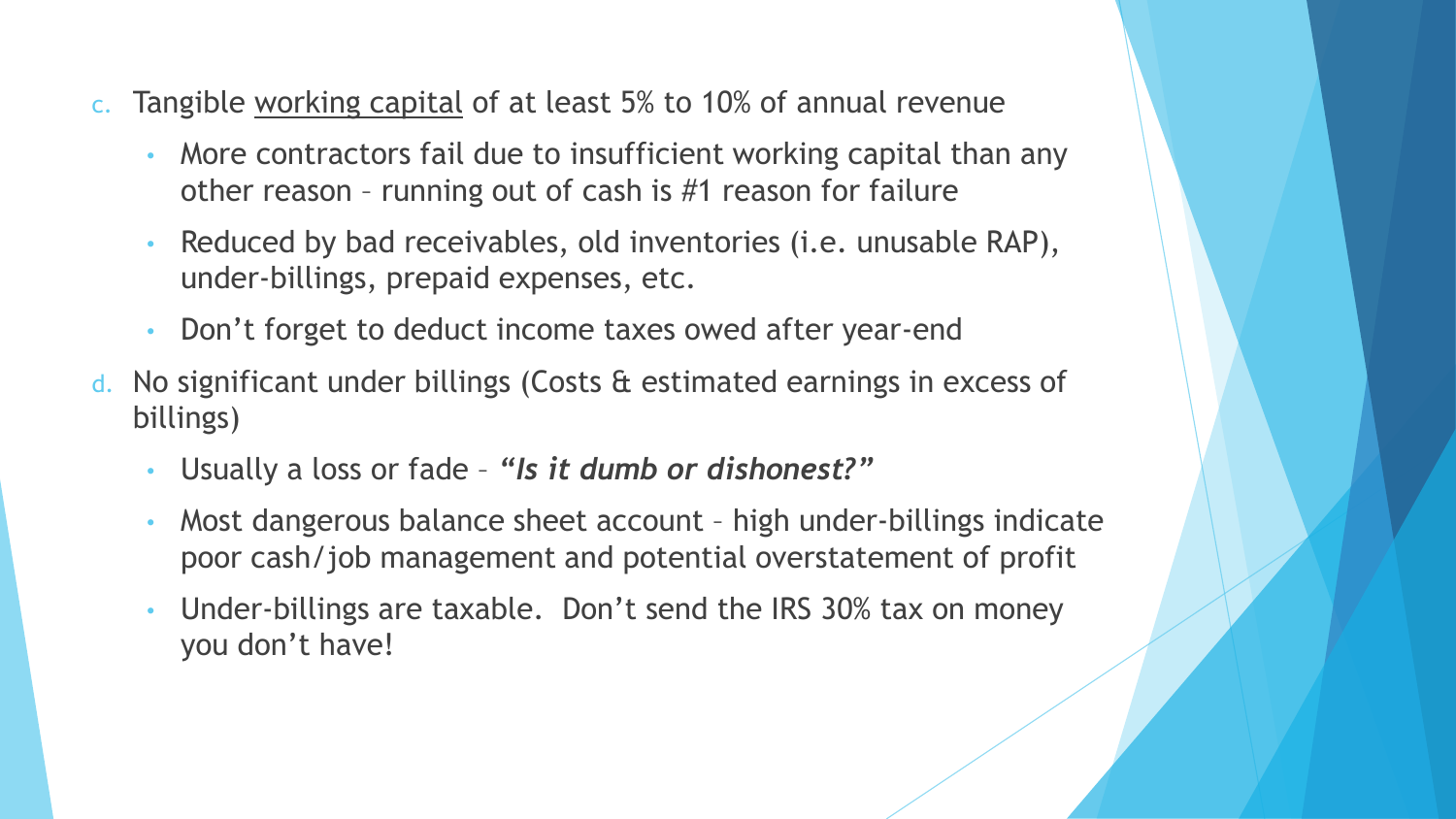- c. Tangible working capital of at least 5% to 10% of annual revenue
	- More contractors fail due to insufficient working capital than any other reason – running out of cash is #1 reason for failure
	- Reduced by bad receivables, old inventories (i.e. unusable RAP), under-billings, prepaid expenses, etc.
	- Don't forget to deduct income taxes owed after year-end
- d. No significant under billings (Costs & estimated earnings in excess of billings)
	- Usually a loss or fade *"Is it dumb or dishonest?"*
	- Most dangerous balance sheet account high under-billings indicate poor cash/job management and potential overstatement of profit
	- Under-billings are taxable. Don't send the IRS 30% tax on money you don't have!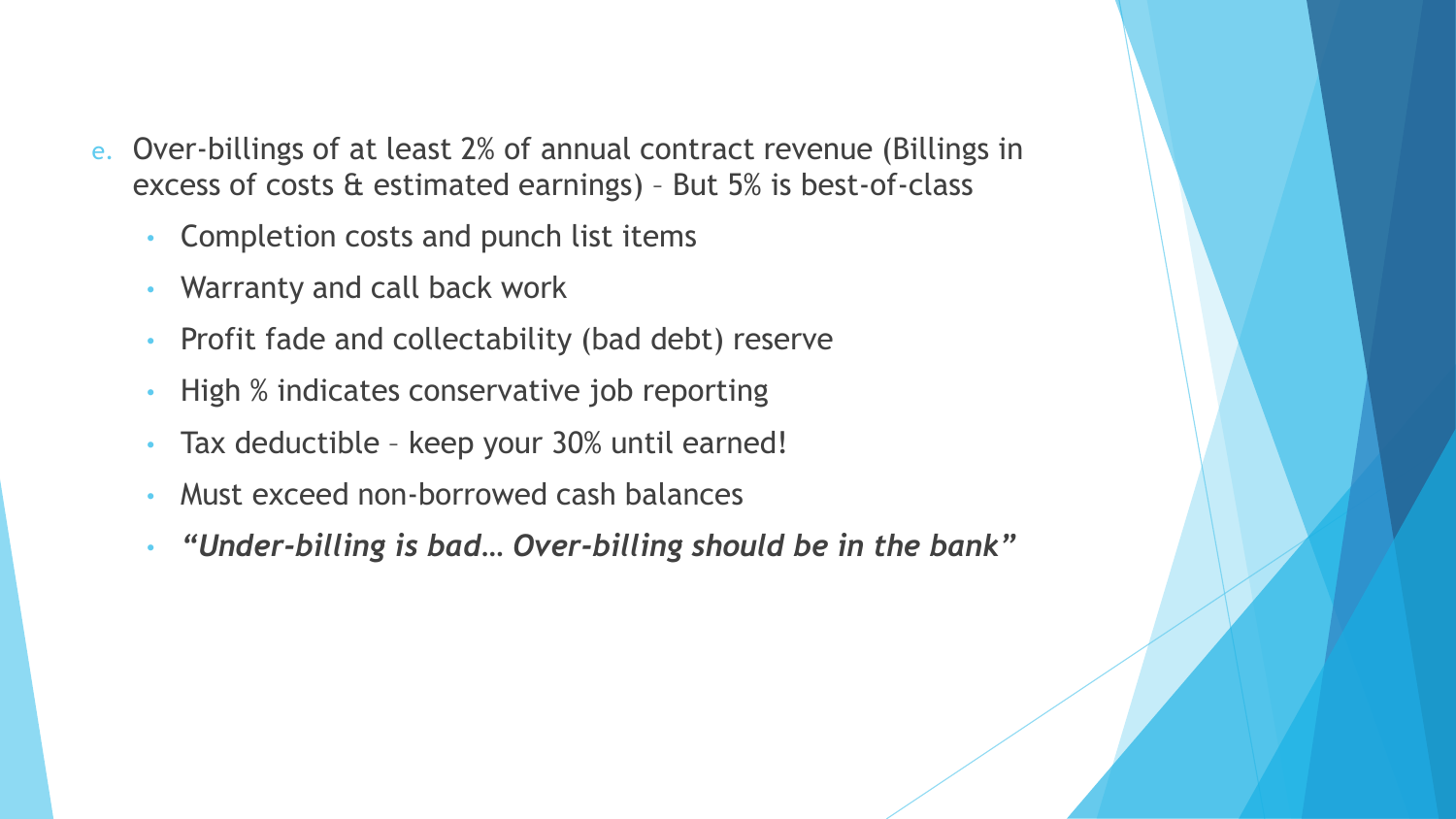- e. Over-billings of at least 2% of annual contract revenue (Billings in excess of costs & estimated earnings) – But 5% is best-of-class
	- Completion costs and punch list items
	- Warranty and call back work
	- Profit fade and collectability (bad debt) reserve
	- High % indicates conservative job reporting
	- Tax deductible keep your 30% until earned!
	- Must exceed non-borrowed cash balances
	- *"Under-billing is bad… Over-billing should be in the bank"*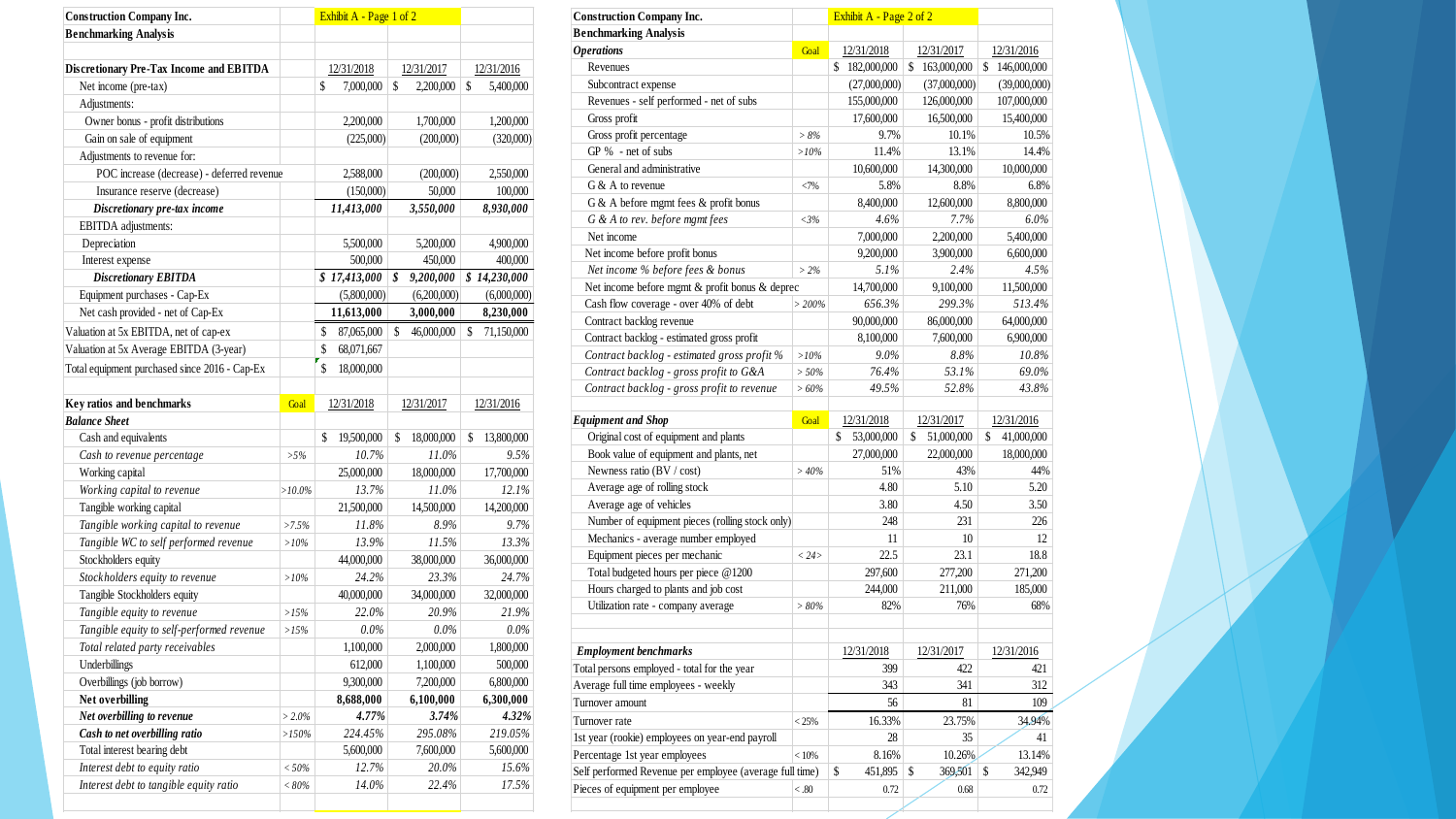| 12/31/2018<br>12/31/2017<br>12/31/2016<br>\$<br>\$<br>\$<br>Net income (pre-tax)<br>7,000,000<br>2,200,000<br>5,400,000<br>Adjustments:<br>Owner bonus - profit distributions<br>2,200,000<br>1,700,000<br>1,200,000<br>Gain on sale of equipment<br>(225,000)<br>(200,000)<br>(320,000)<br>Adjustments to revenue for:<br>POC increase (decrease) - deferred revenue<br>2,588,000<br>(200,000)<br>2,550,000<br>Insurance reserve (decrease)<br>(150,000)<br>50,000<br>100,000<br>Discretionary pre-tax income<br>3,550,000<br>11,413,000<br>8,930,000<br><b>EBITDA</b> adjustments:<br>Depreciation<br>5,500,000<br>5,200,000<br>4,900,000<br>Interest expense<br>500,000<br>450,000<br>400,000<br>\$17,413,000<br><b>Discretionary EBITDA</b><br>\$<br>9,200,000<br>\$14,230,000<br>Equipment purchases - Cap-Ex<br>(5,800,000)<br>(6,200,000)<br>(6,000,000)<br>Net cash provided - net of Cap-Ex<br>3,000,000<br>11,613,000<br>8,230,000<br>46,000,000<br>71,150,000<br>\$<br>87,065,000<br>\$<br>\$<br>\$<br>68,071,667<br>Valuation at 5x Average EBITDA (3-year)<br>\$<br>Total equipment purchased since 2016 - Cap-Ex<br>18,000,000<br>Goal<br>12/31/2018<br>12/31/2017<br>12/31/2016<br>Cash and equivalents<br>\$<br>19,500,000<br>\$<br>18,000,000<br>\$<br>13,800,000<br>10.7%<br>11.0%<br>9.5%<br>Cash to revenue percentage<br>$> 5\%$<br>Working capital<br>18,000,000<br>17,700,000<br>25,000,000<br>Working capital to revenue<br>13.7%<br>11.0%<br>12.1%<br>$>10.0\%$<br>Tangible working capital<br>21,500,000<br>14,500,000<br>14,200,000<br>Tangible working capital to revenue<br>9.7%<br>$>7.5\%$<br>11.8%<br>8.9%<br>Tangible WC to self performed revenue<br>13.9%<br>13.3%<br>11.5%<br>$>10\%$<br>38,000,000<br>Stockholders equity<br>44,000,000<br>36,000,000<br>Stockholders equity to revenue<br>24.2%<br>23.3%<br>24.7%<br>$>10\%$<br>Tangible Stockholders equity<br>40,000,000<br>34,000,000<br>32,000,000<br>22.0%<br>20.9%<br>Tangible equity to revenue<br>21.9%<br>>15%<br>Tangible equity to self-performed revenue<br>0.0%<br>$0.0\%$<br>0.0%<br>>15%<br>2,000,000<br>1,800,000<br>Total related party receivables<br>1,100,000<br>Underbillings<br>612,000<br>1,100,000<br>500,000<br>Overbillings (job borrow)<br>9,300,000<br>7,200,000<br>6,800,000<br>Net overbilling<br>6,300,000<br>8,688,000<br>6,100,000<br>Net overbilling to revenue<br>$> 2.0\%$<br>4.77%<br>3.74%<br>4.32%<br>Cash to net overbilling ratio<br>224.45%<br>295.08%<br>219.05%<br>>150%<br>Total interest bearing debt<br>7,600,000<br>5,600,000<br>5,600,000 | <b>Construction Company Inc.</b>               |  | Exhibit A - Page 1 of 2 |       |       |
|----------------------------------------------------------------------------------------------------------------------------------------------------------------------------------------------------------------------------------------------------------------------------------------------------------------------------------------------------------------------------------------------------------------------------------------------------------------------------------------------------------------------------------------------------------------------------------------------------------------------------------------------------------------------------------------------------------------------------------------------------------------------------------------------------------------------------------------------------------------------------------------------------------------------------------------------------------------------------------------------------------------------------------------------------------------------------------------------------------------------------------------------------------------------------------------------------------------------------------------------------------------------------------------------------------------------------------------------------------------------------------------------------------------------------------------------------------------------------------------------------------------------------------------------------------------------------------------------------------------------------------------------------------------------------------------------------------------------------------------------------------------------------------------------------------------------------------------------------------------------------------------------------------------------------------------------------------------------------------------------------------------------------------------------------------------------------------------------------------------------------------------------------------------------------------------------------------------------------------------------------------------------------------------------------------------------------------------------------------------------------------------------------------------------------------------------------------------------------------------------------------------------------------------------------------------------------------|------------------------------------------------|--|-------------------------|-------|-------|
|                                                                                                                                                                                                                                                                                                                                                                                                                                                                                                                                                                                                                                                                                                                                                                                                                                                                                                                                                                                                                                                                                                                                                                                                                                                                                                                                                                                                                                                                                                                                                                                                                                                                                                                                                                                                                                                                                                                                                                                                                                                                                                                                                                                                                                                                                                                                                                                                                                                                                                                                                                                  | <b>Benchmarking Analysis</b>                   |  |                         |       |       |
|                                                                                                                                                                                                                                                                                                                                                                                                                                                                                                                                                                                                                                                                                                                                                                                                                                                                                                                                                                                                                                                                                                                                                                                                                                                                                                                                                                                                                                                                                                                                                                                                                                                                                                                                                                                                                                                                                                                                                                                                                                                                                                                                                                                                                                                                                                                                                                                                                                                                                                                                                                                  |                                                |  |                         |       |       |
|                                                                                                                                                                                                                                                                                                                                                                                                                                                                                                                                                                                                                                                                                                                                                                                                                                                                                                                                                                                                                                                                                                                                                                                                                                                                                                                                                                                                                                                                                                                                                                                                                                                                                                                                                                                                                                                                                                                                                                                                                                                                                                                                                                                                                                                                                                                                                                                                                                                                                                                                                                                  | <b>Discretionary Pre-Tax Income and EBITDA</b> |  |                         |       |       |
|                                                                                                                                                                                                                                                                                                                                                                                                                                                                                                                                                                                                                                                                                                                                                                                                                                                                                                                                                                                                                                                                                                                                                                                                                                                                                                                                                                                                                                                                                                                                                                                                                                                                                                                                                                                                                                                                                                                                                                                                                                                                                                                                                                                                                                                                                                                                                                                                                                                                                                                                                                                  |                                                |  |                         |       |       |
|                                                                                                                                                                                                                                                                                                                                                                                                                                                                                                                                                                                                                                                                                                                                                                                                                                                                                                                                                                                                                                                                                                                                                                                                                                                                                                                                                                                                                                                                                                                                                                                                                                                                                                                                                                                                                                                                                                                                                                                                                                                                                                                                                                                                                                                                                                                                                                                                                                                                                                                                                                                  |                                                |  |                         |       |       |
|                                                                                                                                                                                                                                                                                                                                                                                                                                                                                                                                                                                                                                                                                                                                                                                                                                                                                                                                                                                                                                                                                                                                                                                                                                                                                                                                                                                                                                                                                                                                                                                                                                                                                                                                                                                                                                                                                                                                                                                                                                                                                                                                                                                                                                                                                                                                                                                                                                                                                                                                                                                  |                                                |  |                         |       |       |
|                                                                                                                                                                                                                                                                                                                                                                                                                                                                                                                                                                                                                                                                                                                                                                                                                                                                                                                                                                                                                                                                                                                                                                                                                                                                                                                                                                                                                                                                                                                                                                                                                                                                                                                                                                                                                                                                                                                                                                                                                                                                                                                                                                                                                                                                                                                                                                                                                                                                                                                                                                                  |                                                |  |                         |       |       |
|                                                                                                                                                                                                                                                                                                                                                                                                                                                                                                                                                                                                                                                                                                                                                                                                                                                                                                                                                                                                                                                                                                                                                                                                                                                                                                                                                                                                                                                                                                                                                                                                                                                                                                                                                                                                                                                                                                                                                                                                                                                                                                                                                                                                                                                                                                                                                                                                                                                                                                                                                                                  |                                                |  |                         |       |       |
|                                                                                                                                                                                                                                                                                                                                                                                                                                                                                                                                                                                                                                                                                                                                                                                                                                                                                                                                                                                                                                                                                                                                                                                                                                                                                                                                                                                                                                                                                                                                                                                                                                                                                                                                                                                                                                                                                                                                                                                                                                                                                                                                                                                                                                                                                                                                                                                                                                                                                                                                                                                  |                                                |  |                         |       |       |
|                                                                                                                                                                                                                                                                                                                                                                                                                                                                                                                                                                                                                                                                                                                                                                                                                                                                                                                                                                                                                                                                                                                                                                                                                                                                                                                                                                                                                                                                                                                                                                                                                                                                                                                                                                                                                                                                                                                                                                                                                                                                                                                                                                                                                                                                                                                                                                                                                                                                                                                                                                                  |                                                |  |                         |       |       |
|                                                                                                                                                                                                                                                                                                                                                                                                                                                                                                                                                                                                                                                                                                                                                                                                                                                                                                                                                                                                                                                                                                                                                                                                                                                                                                                                                                                                                                                                                                                                                                                                                                                                                                                                                                                                                                                                                                                                                                                                                                                                                                                                                                                                                                                                                                                                                                                                                                                                                                                                                                                  |                                                |  |                         |       |       |
|                                                                                                                                                                                                                                                                                                                                                                                                                                                                                                                                                                                                                                                                                                                                                                                                                                                                                                                                                                                                                                                                                                                                                                                                                                                                                                                                                                                                                                                                                                                                                                                                                                                                                                                                                                                                                                                                                                                                                                                                                                                                                                                                                                                                                                                                                                                                                                                                                                                                                                                                                                                  |                                                |  |                         |       |       |
|                                                                                                                                                                                                                                                                                                                                                                                                                                                                                                                                                                                                                                                                                                                                                                                                                                                                                                                                                                                                                                                                                                                                                                                                                                                                                                                                                                                                                                                                                                                                                                                                                                                                                                                                                                                                                                                                                                                                                                                                                                                                                                                                                                                                                                                                                                                                                                                                                                                                                                                                                                                  |                                                |  |                         |       |       |
|                                                                                                                                                                                                                                                                                                                                                                                                                                                                                                                                                                                                                                                                                                                                                                                                                                                                                                                                                                                                                                                                                                                                                                                                                                                                                                                                                                                                                                                                                                                                                                                                                                                                                                                                                                                                                                                                                                                                                                                                                                                                                                                                                                                                                                                                                                                                                                                                                                                                                                                                                                                  |                                                |  |                         |       |       |
|                                                                                                                                                                                                                                                                                                                                                                                                                                                                                                                                                                                                                                                                                                                                                                                                                                                                                                                                                                                                                                                                                                                                                                                                                                                                                                                                                                                                                                                                                                                                                                                                                                                                                                                                                                                                                                                                                                                                                                                                                                                                                                                                                                                                                                                                                                                                                                                                                                                                                                                                                                                  |                                                |  |                         |       |       |
|                                                                                                                                                                                                                                                                                                                                                                                                                                                                                                                                                                                                                                                                                                                                                                                                                                                                                                                                                                                                                                                                                                                                                                                                                                                                                                                                                                                                                                                                                                                                                                                                                                                                                                                                                                                                                                                                                                                                                                                                                                                                                                                                                                                                                                                                                                                                                                                                                                                                                                                                                                                  |                                                |  |                         |       |       |
|                                                                                                                                                                                                                                                                                                                                                                                                                                                                                                                                                                                                                                                                                                                                                                                                                                                                                                                                                                                                                                                                                                                                                                                                                                                                                                                                                                                                                                                                                                                                                                                                                                                                                                                                                                                                                                                                                                                                                                                                                                                                                                                                                                                                                                                                                                                                                                                                                                                                                                                                                                                  |                                                |  |                         |       |       |
|                                                                                                                                                                                                                                                                                                                                                                                                                                                                                                                                                                                                                                                                                                                                                                                                                                                                                                                                                                                                                                                                                                                                                                                                                                                                                                                                                                                                                                                                                                                                                                                                                                                                                                                                                                                                                                                                                                                                                                                                                                                                                                                                                                                                                                                                                                                                                                                                                                                                                                                                                                                  | Valuation at 5x EBITDA, net of cap-ex          |  |                         |       |       |
|                                                                                                                                                                                                                                                                                                                                                                                                                                                                                                                                                                                                                                                                                                                                                                                                                                                                                                                                                                                                                                                                                                                                                                                                                                                                                                                                                                                                                                                                                                                                                                                                                                                                                                                                                                                                                                                                                                                                                                                                                                                                                                                                                                                                                                                                                                                                                                                                                                                                                                                                                                                  |                                                |  |                         |       |       |
|                                                                                                                                                                                                                                                                                                                                                                                                                                                                                                                                                                                                                                                                                                                                                                                                                                                                                                                                                                                                                                                                                                                                                                                                                                                                                                                                                                                                                                                                                                                                                                                                                                                                                                                                                                                                                                                                                                                                                                                                                                                                                                                                                                                                                                                                                                                                                                                                                                                                                                                                                                                  |                                                |  |                         |       |       |
|                                                                                                                                                                                                                                                                                                                                                                                                                                                                                                                                                                                                                                                                                                                                                                                                                                                                                                                                                                                                                                                                                                                                                                                                                                                                                                                                                                                                                                                                                                                                                                                                                                                                                                                                                                                                                                                                                                                                                                                                                                                                                                                                                                                                                                                                                                                                                                                                                                                                                                                                                                                  |                                                |  |                         |       |       |
|                                                                                                                                                                                                                                                                                                                                                                                                                                                                                                                                                                                                                                                                                                                                                                                                                                                                                                                                                                                                                                                                                                                                                                                                                                                                                                                                                                                                                                                                                                                                                                                                                                                                                                                                                                                                                                                                                                                                                                                                                                                                                                                                                                                                                                                                                                                                                                                                                                                                                                                                                                                  | Key ratios and benchmarks                      |  |                         |       |       |
|                                                                                                                                                                                                                                                                                                                                                                                                                                                                                                                                                                                                                                                                                                                                                                                                                                                                                                                                                                                                                                                                                                                                                                                                                                                                                                                                                                                                                                                                                                                                                                                                                                                                                                                                                                                                                                                                                                                                                                                                                                                                                                                                                                                                                                                                                                                                                                                                                                                                                                                                                                                  | <b>Balance Sheet</b>                           |  |                         |       |       |
|                                                                                                                                                                                                                                                                                                                                                                                                                                                                                                                                                                                                                                                                                                                                                                                                                                                                                                                                                                                                                                                                                                                                                                                                                                                                                                                                                                                                                                                                                                                                                                                                                                                                                                                                                                                                                                                                                                                                                                                                                                                                                                                                                                                                                                                                                                                                                                                                                                                                                                                                                                                  |                                                |  |                         |       |       |
|                                                                                                                                                                                                                                                                                                                                                                                                                                                                                                                                                                                                                                                                                                                                                                                                                                                                                                                                                                                                                                                                                                                                                                                                                                                                                                                                                                                                                                                                                                                                                                                                                                                                                                                                                                                                                                                                                                                                                                                                                                                                                                                                                                                                                                                                                                                                                                                                                                                                                                                                                                                  |                                                |  |                         |       |       |
|                                                                                                                                                                                                                                                                                                                                                                                                                                                                                                                                                                                                                                                                                                                                                                                                                                                                                                                                                                                                                                                                                                                                                                                                                                                                                                                                                                                                                                                                                                                                                                                                                                                                                                                                                                                                                                                                                                                                                                                                                                                                                                                                                                                                                                                                                                                                                                                                                                                                                                                                                                                  |                                                |  |                         |       |       |
|                                                                                                                                                                                                                                                                                                                                                                                                                                                                                                                                                                                                                                                                                                                                                                                                                                                                                                                                                                                                                                                                                                                                                                                                                                                                                                                                                                                                                                                                                                                                                                                                                                                                                                                                                                                                                                                                                                                                                                                                                                                                                                                                                                                                                                                                                                                                                                                                                                                                                                                                                                                  |                                                |  |                         |       |       |
|                                                                                                                                                                                                                                                                                                                                                                                                                                                                                                                                                                                                                                                                                                                                                                                                                                                                                                                                                                                                                                                                                                                                                                                                                                                                                                                                                                                                                                                                                                                                                                                                                                                                                                                                                                                                                                                                                                                                                                                                                                                                                                                                                                                                                                                                                                                                                                                                                                                                                                                                                                                  |                                                |  |                         |       |       |
|                                                                                                                                                                                                                                                                                                                                                                                                                                                                                                                                                                                                                                                                                                                                                                                                                                                                                                                                                                                                                                                                                                                                                                                                                                                                                                                                                                                                                                                                                                                                                                                                                                                                                                                                                                                                                                                                                                                                                                                                                                                                                                                                                                                                                                                                                                                                                                                                                                                                                                                                                                                  |                                                |  |                         |       |       |
|                                                                                                                                                                                                                                                                                                                                                                                                                                                                                                                                                                                                                                                                                                                                                                                                                                                                                                                                                                                                                                                                                                                                                                                                                                                                                                                                                                                                                                                                                                                                                                                                                                                                                                                                                                                                                                                                                                                                                                                                                                                                                                                                                                                                                                                                                                                                                                                                                                                                                                                                                                                  |                                                |  |                         |       |       |
|                                                                                                                                                                                                                                                                                                                                                                                                                                                                                                                                                                                                                                                                                                                                                                                                                                                                                                                                                                                                                                                                                                                                                                                                                                                                                                                                                                                                                                                                                                                                                                                                                                                                                                                                                                                                                                                                                                                                                                                                                                                                                                                                                                                                                                                                                                                                                                                                                                                                                                                                                                                  |                                                |  |                         |       |       |
|                                                                                                                                                                                                                                                                                                                                                                                                                                                                                                                                                                                                                                                                                                                                                                                                                                                                                                                                                                                                                                                                                                                                                                                                                                                                                                                                                                                                                                                                                                                                                                                                                                                                                                                                                                                                                                                                                                                                                                                                                                                                                                                                                                                                                                                                                                                                                                                                                                                                                                                                                                                  |                                                |  |                         |       |       |
|                                                                                                                                                                                                                                                                                                                                                                                                                                                                                                                                                                                                                                                                                                                                                                                                                                                                                                                                                                                                                                                                                                                                                                                                                                                                                                                                                                                                                                                                                                                                                                                                                                                                                                                                                                                                                                                                                                                                                                                                                                                                                                                                                                                                                                                                                                                                                                                                                                                                                                                                                                                  |                                                |  |                         |       |       |
|                                                                                                                                                                                                                                                                                                                                                                                                                                                                                                                                                                                                                                                                                                                                                                                                                                                                                                                                                                                                                                                                                                                                                                                                                                                                                                                                                                                                                                                                                                                                                                                                                                                                                                                                                                                                                                                                                                                                                                                                                                                                                                                                                                                                                                                                                                                                                                                                                                                                                                                                                                                  |                                                |  |                         |       |       |
|                                                                                                                                                                                                                                                                                                                                                                                                                                                                                                                                                                                                                                                                                                                                                                                                                                                                                                                                                                                                                                                                                                                                                                                                                                                                                                                                                                                                                                                                                                                                                                                                                                                                                                                                                                                                                                                                                                                                                                                                                                                                                                                                                                                                                                                                                                                                                                                                                                                                                                                                                                                  |                                                |  |                         |       |       |
|                                                                                                                                                                                                                                                                                                                                                                                                                                                                                                                                                                                                                                                                                                                                                                                                                                                                                                                                                                                                                                                                                                                                                                                                                                                                                                                                                                                                                                                                                                                                                                                                                                                                                                                                                                                                                                                                                                                                                                                                                                                                                                                                                                                                                                                                                                                                                                                                                                                                                                                                                                                  |                                                |  |                         |       |       |
|                                                                                                                                                                                                                                                                                                                                                                                                                                                                                                                                                                                                                                                                                                                                                                                                                                                                                                                                                                                                                                                                                                                                                                                                                                                                                                                                                                                                                                                                                                                                                                                                                                                                                                                                                                                                                                                                                                                                                                                                                                                                                                                                                                                                                                                                                                                                                                                                                                                                                                                                                                                  |                                                |  |                         |       |       |
|                                                                                                                                                                                                                                                                                                                                                                                                                                                                                                                                                                                                                                                                                                                                                                                                                                                                                                                                                                                                                                                                                                                                                                                                                                                                                                                                                                                                                                                                                                                                                                                                                                                                                                                                                                                                                                                                                                                                                                                                                                                                                                                                                                                                                                                                                                                                                                                                                                                                                                                                                                                  |                                                |  |                         |       |       |
|                                                                                                                                                                                                                                                                                                                                                                                                                                                                                                                                                                                                                                                                                                                                                                                                                                                                                                                                                                                                                                                                                                                                                                                                                                                                                                                                                                                                                                                                                                                                                                                                                                                                                                                                                                                                                                                                                                                                                                                                                                                                                                                                                                                                                                                                                                                                                                                                                                                                                                                                                                                  |                                                |  |                         |       |       |
|                                                                                                                                                                                                                                                                                                                                                                                                                                                                                                                                                                                                                                                                                                                                                                                                                                                                                                                                                                                                                                                                                                                                                                                                                                                                                                                                                                                                                                                                                                                                                                                                                                                                                                                                                                                                                                                                                                                                                                                                                                                                                                                                                                                                                                                                                                                                                                                                                                                                                                                                                                                  |                                                |  |                         |       |       |
|                                                                                                                                                                                                                                                                                                                                                                                                                                                                                                                                                                                                                                                                                                                                                                                                                                                                                                                                                                                                                                                                                                                                                                                                                                                                                                                                                                                                                                                                                                                                                                                                                                                                                                                                                                                                                                                                                                                                                                                                                                                                                                                                                                                                                                                                                                                                                                                                                                                                                                                                                                                  |                                                |  |                         |       |       |
|                                                                                                                                                                                                                                                                                                                                                                                                                                                                                                                                                                                                                                                                                                                                                                                                                                                                                                                                                                                                                                                                                                                                                                                                                                                                                                                                                                                                                                                                                                                                                                                                                                                                                                                                                                                                                                                                                                                                                                                                                                                                                                                                                                                                                                                                                                                                                                                                                                                                                                                                                                                  |                                                |  |                         |       |       |
| $< 50\%$                                                                                                                                                                                                                                                                                                                                                                                                                                                                                                                                                                                                                                                                                                                                                                                                                                                                                                                                                                                                                                                                                                                                                                                                                                                                                                                                                                                                                                                                                                                                                                                                                                                                                                                                                                                                                                                                                                                                                                                                                                                                                                                                                                                                                                                                                                                                                                                                                                                                                                                                                                         | Interest debt to equity ratio                  |  | 12.7%                   | 20.0% | 15.6% |
| Interest debt to tangible equity ratio<br>14.0%<br>22.4%<br>17.5%<br>$<80\%$                                                                                                                                                                                                                                                                                                                                                                                                                                                                                                                                                                                                                                                                                                                                                                                                                                                                                                                                                                                                                                                                                                                                                                                                                                                                                                                                                                                                                                                                                                                                                                                                                                                                                                                                                                                                                                                                                                                                                                                                                                                                                                                                                                                                                                                                                                                                                                                                                                                                                                     |                                                |  |                         |       |       |

| <b>Construction Company Inc.</b>                                                            |           | Exhibit A - Page 2 of 2 |                   |                                                                                                           |
|---------------------------------------------------------------------------------------------|-----------|-------------------------|-------------------|-----------------------------------------------------------------------------------------------------------|
| <b>Benchmarking Analysis</b>                                                                |           |                         |                   |                                                                                                           |
| <b>Operations</b>                                                                           | Goal      | 12/31/2018              | 12/31/2017        | 12/31/2016                                                                                                |
| Revenues                                                                                    |           | \$<br>182,000,000       | \$<br>163,000,000 | \$<br>146,000,000                                                                                         |
| Subcontract expense                                                                         |           | (27,000,000)            | (37,000,000)      | (39,000,000)                                                                                              |
| Revenues - self performed - net of subs                                                     |           | 155,000,000             | 126,000,000       | 107,000,000                                                                                               |
| Gross profit                                                                                |           | 17,600,000              | 16,500,000        | 15,400,000                                                                                                |
| Gross profit percentage                                                                     | >8%       | 9.7%                    | 10.1%             | 10.5%                                                                                                     |
| $GP$ % - net of subs                                                                        | $>10\%$   | 11.4%                   | 13.1%             | 14.4%                                                                                                     |
| General and administrative                                                                  |           | 10,600,000              | 14,300,000        | 10,000,000                                                                                                |
| $G \& A$ to revenue                                                                         | <7%       | 5.8%                    | 8.8%              | 6.8%                                                                                                      |
| G & A before mgmt fees & profit bonus                                                       |           | 8,400,000               | 12,600,000        | 8,800,000                                                                                                 |
| G & A to rev. before mgmt fees                                                              | ${<}3\%$  | 4.6%                    | 7.7%              | 6.0%                                                                                                      |
| Net income                                                                                  |           | 7,000,000               | 2,200,000         | 5,400,000                                                                                                 |
| Net income before profit bonus                                                              |           | 9,200,000               | 3,900,000         | 6,600,000                                                                                                 |
| Net income % before fees & bonus                                                            | $> 2\%$   | 5.1%                    | 2.4%              | 4.5%                                                                                                      |
| Net income before mgmt & profit bonus & deprec                                              |           | 14,700,000              | 9,100,000         | 11,500,000                                                                                                |
| Cash flow coverage - over 40% of debt                                                       | $> 200\%$ | 656.3%                  | 299.3%            | 513.4%                                                                                                    |
| Contract backlog revenue                                                                    |           | 90,000,000              | 86,000,000        | 64,000,000                                                                                                |
| Contract backlog - estimated gross profit                                                   |           | 8,100,000               | 7,600,000         | 6,900,000                                                                                                 |
| Contract backlog - estimated gross profit %                                                 | $>10\%$   | 9.0%                    | 8.8%              | 10.8%                                                                                                     |
| Contract backlog - gross profit to G&A                                                      | $> 50\%$  | 76.4%                   | 53.1%             | 69.0%                                                                                                     |
| Contract backlog - gross profit to revenue                                                  | >60%      | 49.5%                   | 52.8%             | 43.8%                                                                                                     |
| <b>Equipment and Shop</b>                                                                   | Goal      | 12/31/2018              | 12/31/2017        | 12/31/2016                                                                                                |
| Original cost of equipment and plants                                                       |           | \$<br>53,000,000        | \$<br>51,000,000  | \$<br>41,000,000                                                                                          |
| Book value of equipment and plants, net                                                     |           | 27,000,000              | 22,000,000        | 18,000,000                                                                                                |
|                                                                                             |           |                         |                   |                                                                                                           |
| Newness ratio (BV / cost)                                                                   | >40%      | 51%                     | 43%               |                                                                                                           |
|                                                                                             |           | 4.80                    | 5.10              |                                                                                                           |
| Average age of rolling stock                                                                |           |                         |                   |                                                                                                           |
| Average age of vehicles                                                                     |           | 3.80<br>248             | 4.50<br>231       |                                                                                                           |
| Number of equipment pieces (rolling stock only)                                             |           | 11                      | 10                |                                                                                                           |
| Mechanics - average number employed                                                         |           |                         |                   |                                                                                                           |
| Equipment pieces per mechanic                                                               | < 24      | 22.5                    | 23.1              |                                                                                                           |
| Total budgeted hours per piece @1200                                                        |           | 297,600                 | 277,200           |                                                                                                           |
| Hours charged to plants and job cost<br>Utilization rate - company average                  | >80%      | 244,000<br>82%          | 211,000<br>76%    | 226<br>12<br>18.8                                                                                         |
|                                                                                             |           |                         |                   |                                                                                                           |
| <b>Employment benchmarks</b>                                                                |           | 12/31/2018              | 12/31/2017        | 12/31/2016                                                                                                |
| Total persons employed - total for the year                                                 |           | 399                     | 422               | 421                                                                                                       |
| Average full time employees - weekly                                                        |           | 343                     | 341               |                                                                                                           |
| Turnover amount                                                                             |           | 56                      | 81                |                                                                                                           |
| Turnover rate                                                                               | < 25%     | 16.33%                  | 23.75%            |                                                                                                           |
| 1st year (rookie) employees on year-end payroll                                             |           | 28                      | 35                |                                                                                                           |
| Percentage 1st year employees                                                               | < 10%     | 8.16%                   | 10.26%            |                                                                                                           |
| Self performed Revenue per employee (average full time)<br>Pieces of equipment per employee |           | \$<br>451,895           | 369,501<br>\$     | 44%<br>5.20<br>3.50<br>271,200<br>185,000<br>68%<br>312<br>109<br>34.94%<br>41<br>13.14%<br>\$<br>342,949 |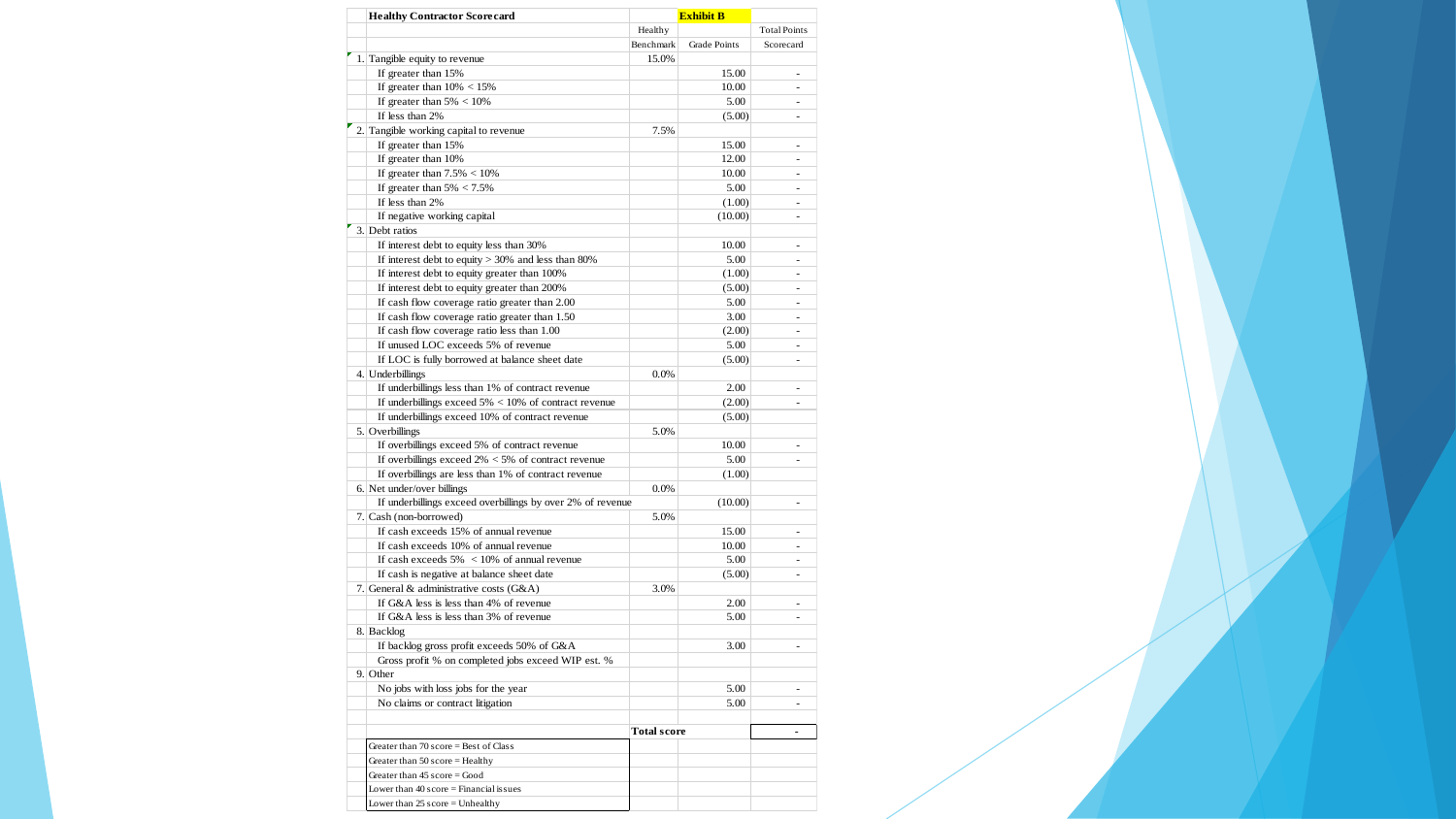|                  | <b>Healthy Contractor Scorecard</b>                                                     | <b>Exhibit B</b>   |                     |                          |
|------------------|-----------------------------------------------------------------------------------------|--------------------|---------------------|--------------------------|
|                  |                                                                                         | Healthy            |                     | <b>Total Points</b>      |
|                  |                                                                                         | Benchmark          | <b>Grade Points</b> | Scorecard                |
|                  | 1. Tangible equity to revenue                                                           | 15.0%              |                     |                          |
|                  | If greater than 15%                                                                     |                    | 15.00               | ۰                        |
|                  | If greater than $10\% < 15\%$                                                           |                    | 10.00               |                          |
|                  | If greater than $5\% < 10\%$                                                            |                    | 5.00                | $\sim$                   |
|                  | If less than 2%                                                                         |                    | (5.00)              | ÷                        |
|                  | 2. Tangible working capital to revenue                                                  | 7.5%               |                     |                          |
|                  | If greater than 15%                                                                     |                    | 15.00               |                          |
|                  | If greater than 10%                                                                     |                    | 12.00               |                          |
|                  | If greater than $7.5\% < 10\%$                                                          |                    | 10.00               |                          |
|                  | If greater than $5\% < 7.5\%$                                                           |                    | 5.00                | ٠                        |
|                  | If less than 2%                                                                         |                    | (1.00)              | ٠                        |
|                  | If negative working capital                                                             |                    | (10.00)             |                          |
| 3. Debt ratios   |                                                                                         |                    |                     |                          |
|                  | If interest debt to equity less than 30%                                                |                    | 10.00               | ٠                        |
|                  | If interest debt to equity $> 30\%$ and less than 80%                                   |                    | 5.00                |                          |
|                  | If interest debt to equity greater than 100%                                            |                    | (1.00)              | $\overline{\phantom{0}}$ |
|                  | If interest debt to equity greater than 200%                                            |                    | (5.00)              | ۰                        |
|                  | If cash flow coverage ratio greater than 2.00                                           |                    | 5.00                | ٠                        |
|                  | If cash flow coverage ratio greater than 1.50                                           |                    | 3.00                |                          |
|                  | If cash flow coverage ratio less than 1.00                                              |                    | (2.00)              |                          |
|                  | If unused LOC exceeds 5% of revenue                                                     |                    | 5.00                |                          |
|                  | If LOC is fully borrowed at balance sheet date                                          |                    | (5.00)              |                          |
| 4. Underbillings |                                                                                         | 0.0%               |                     |                          |
|                  | If underbillings less than 1% of contract revenue                                       |                    | 2.00                | -                        |
|                  | If underbillings exceed $5\% < 10\%$ of contract revenue                                |                    | (2.00)              | $\overline{\phantom{a}}$ |
|                  | If underbillings exceed 10% of contract revenue                                         |                    | (5.00)              |                          |
| 5. Overbillings  |                                                                                         | 5.0%               |                     |                          |
|                  | If overbillings exceed 5% of contract revenue                                           |                    | 10.00               |                          |
|                  | If overbillings exceed $2\% < 5\%$ of contract revenue                                  |                    | 5.00                |                          |
|                  | If overbillings are less than 1% of contract revenue                                    |                    | (1.00)              |                          |
|                  | 6. Net under/over billings                                                              | 0.0%               |                     |                          |
|                  | If underbillings exceed overbillings by over 2% of revenue                              |                    | (10.00)             | ÷,                       |
|                  | 7. Cash (non-borrowed)                                                                  | 5.0%               |                     |                          |
|                  | If cash exceeds 15% of annual revenue                                                   |                    | 15.00               |                          |
|                  | If cash exceeds 10% of annual revenue                                                   |                    | 10.00               |                          |
|                  | If cash exceeds $5\%$ < 10% of annual revenue                                           |                    | 5.00                |                          |
|                  |                                                                                         |                    | (5.00)              | ÷,                       |
|                  | If cash is negative at balance sheet date<br>7. General $\&$ administrative costs (G&A) |                    |                     |                          |
|                  | If G&A less is less than 4% of revenue                                                  | 3.0%               |                     |                          |
|                  | If G&A less is less than 3% of revenue                                                  |                    | 2.00                |                          |
|                  |                                                                                         |                    | 5.00                |                          |
| 8. Backlog       |                                                                                         |                    |                     |                          |
|                  | If backlog gross profit exceeds 50% of G&A                                              |                    | 3.00                | ÷,                       |
|                  | Gross profit % on completed jobs exceed WIP est. %                                      |                    |                     |                          |
| 9. Other         |                                                                                         |                    |                     |                          |
|                  | No jobs with loss jobs for the year                                                     |                    | 5.00                |                          |
|                  | No claims or contract litigation                                                        |                    | 5.00                |                          |
|                  |                                                                                         | <b>Total score</b> |                     | ٠                        |
|                  | Greater than $70$ score = Best of Class                                                 |                    |                     |                          |
|                  | Greater than $50$ score = Healthy                                                       |                    |                     |                          |
|                  | Greater than 45 score = Good                                                            |                    |                     |                          |
|                  | Lower than $40$ score = Financial issues                                                |                    |                     |                          |
|                  | Lower than 25 score = Unhealthy                                                         |                    |                     |                          |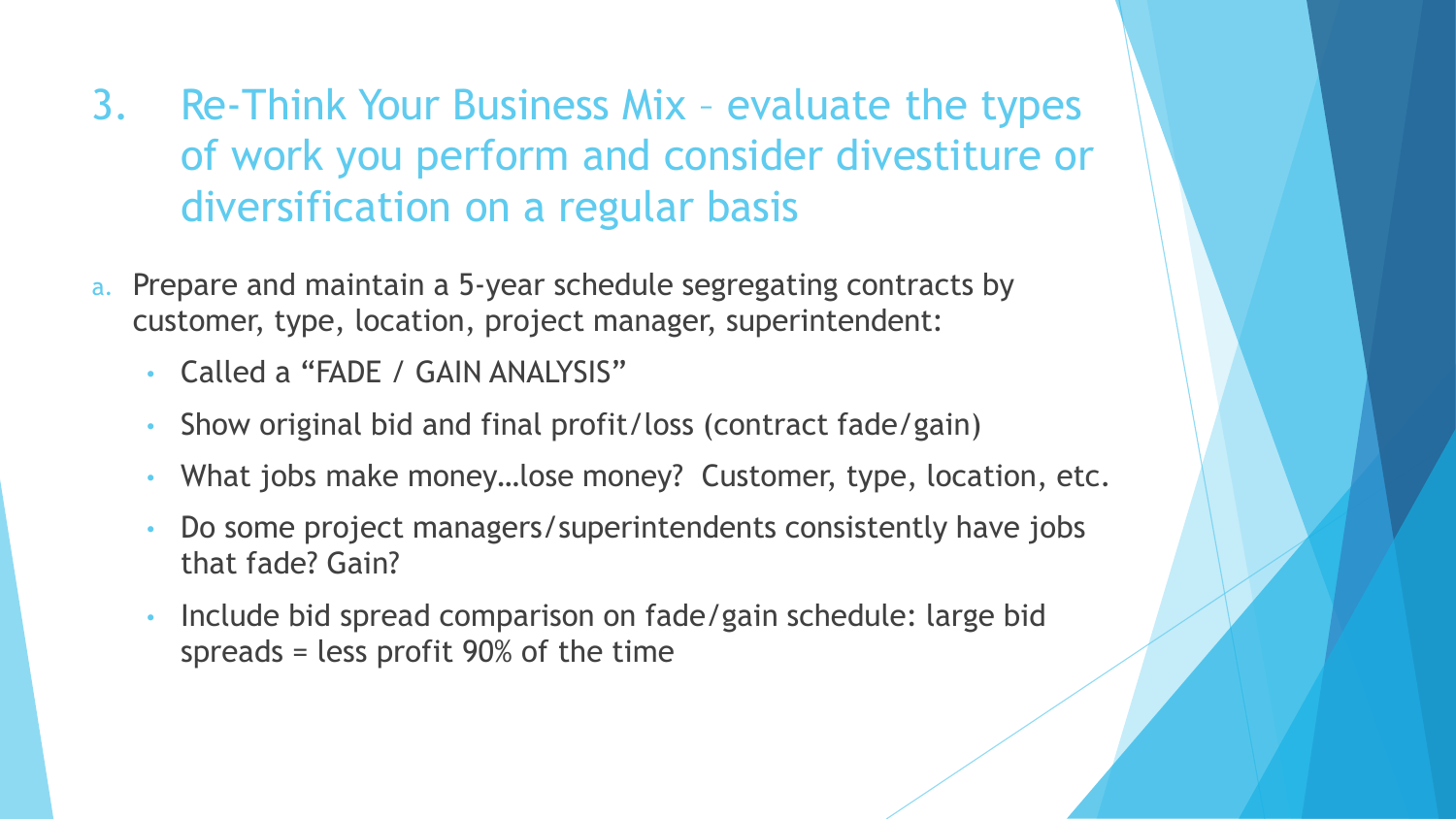- 3. Re-Think Your Business Mix evaluate the types of work you perform and consider divestiture or diversification on a regular basis
- a. Prepare and maintain a 5-year schedule segregating contracts by customer, type, location, project manager, superintendent:
	- Called a "FADE / GAIN ANALYSIS"
	- Show original bid and final profit/loss (contract fade/gain)
	- What jobs make money…lose money? Customer, type, location, etc.
	- Do some project managers/superintendents consistently have jobs that fade? Gain?
	- Include bid spread comparison on fade/gain schedule: large bid spreads = less profit 90% of the time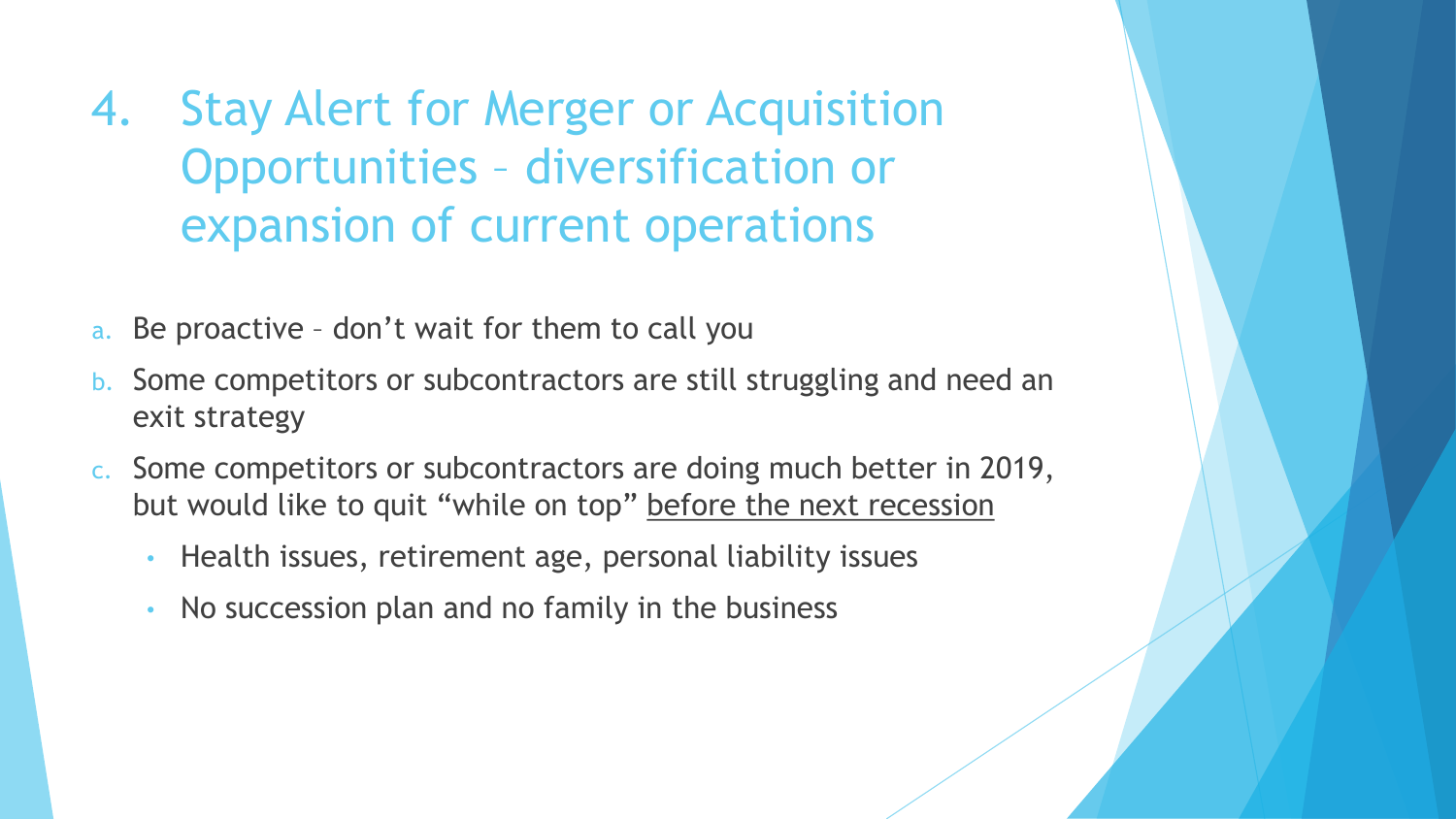4. Stay Alert for Merger or Acquisition Opportunities – diversification or expansion of current operations

- a. Be proactive don't wait for them to call you
- b. Some competitors or subcontractors are still struggling and need an exit strategy
- c. Some competitors or subcontractors are doing much better in 2019, but would like to quit "while on top" before the next recession
	- Health issues, retirement age, personal liability issues
	- No succession plan and no family in the business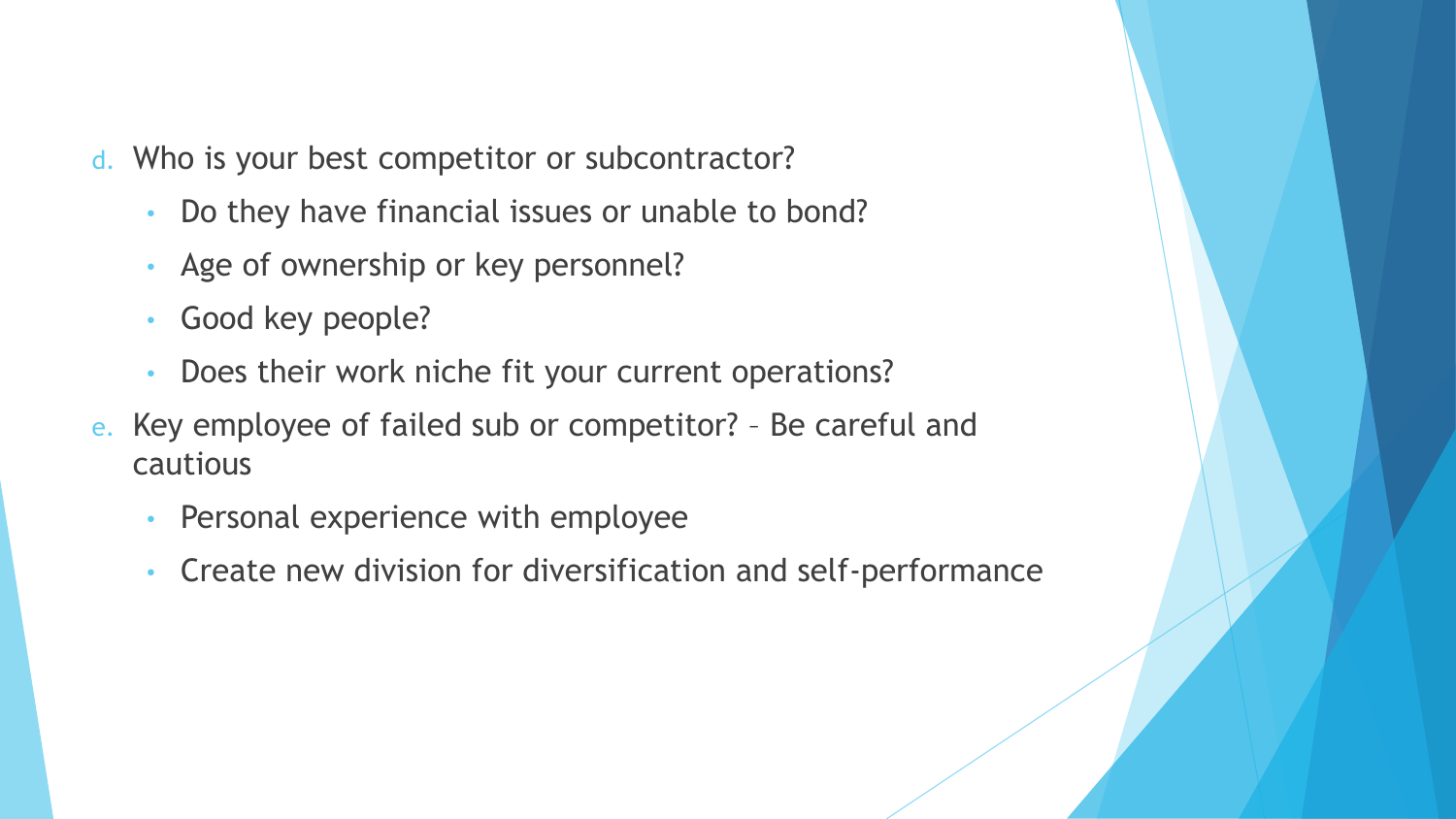- d. Who is your best competitor or subcontractor?
	- Do they have financial issues or unable to bond?
	- Age of ownership or key personnel?
	- Good key people?
	- Does their work niche fit your current operations?
- e. Key employee of failed sub or competitor? Be careful and cautious
	- Personal experience with employee
	- Create new division for diversification and self-performance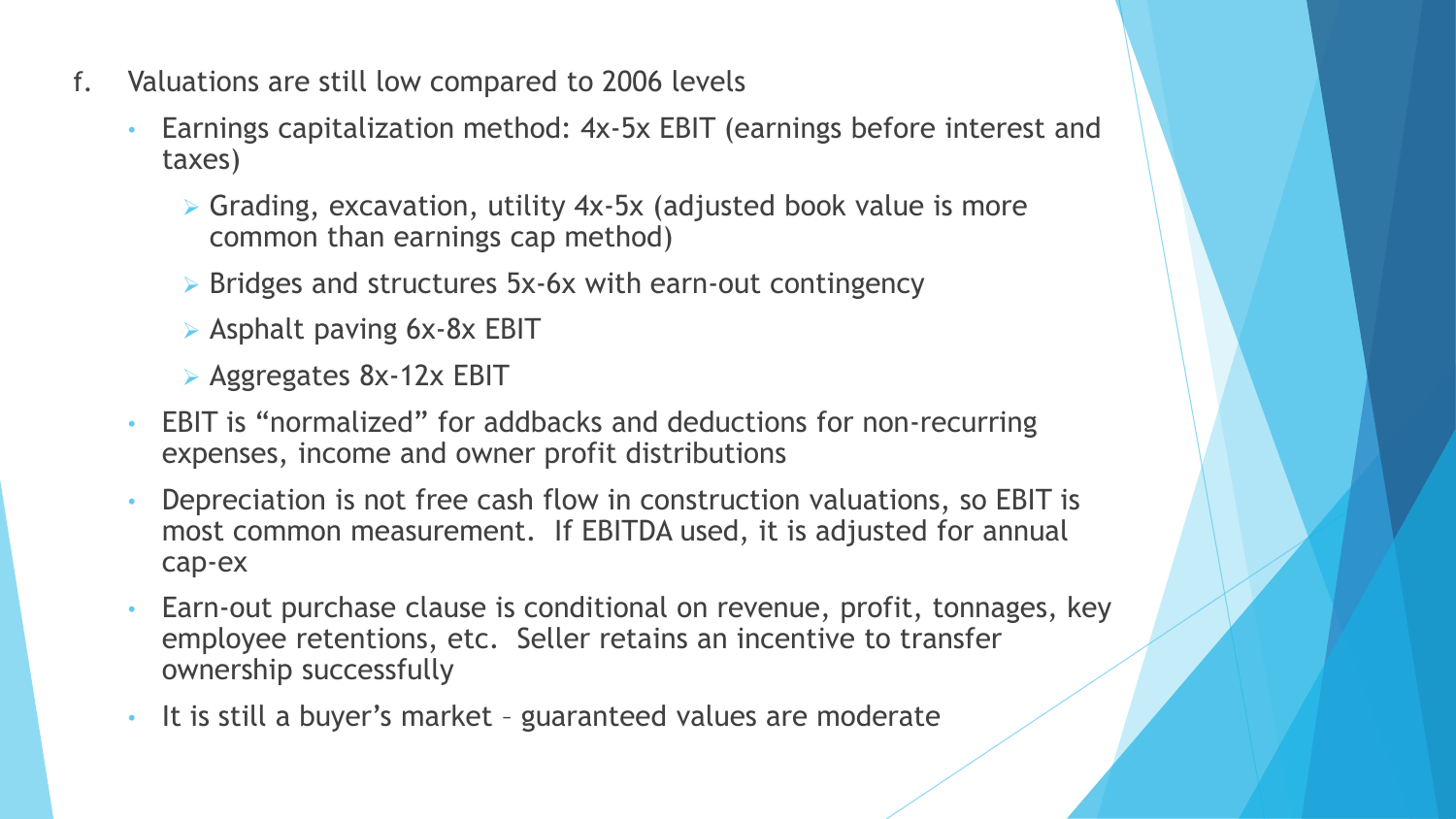- f. Valuations are still low compared to 2006 levels
	- Earnings capitalization method: 4x-5x EBIT (earnings before interest and taxes)
		- ➢ Grading, excavation, utility 4x-5x (adjusted book value is more common than earnings cap method)
		- ➢ Bridges and structures 5x-6x with earn-out contingency
		- ➢ Asphalt paving 6x-8x EBIT
		- ➢ Aggregates 8x-12x EBIT
	- EBIT is "normalized" for addbacks and deductions for non-recurring expenses, income and owner profit distributions
	- Depreciation is not free cash flow in construction valuations, so EBIT is most common measurement. If EBITDA used, it is adjusted for annual cap-ex
	- Earn-out purchase clause is conditional on revenue, profit, tonnages, key employee retentions, etc. Seller retains an incentive to transfer ownership successfully
	- It is still a buyer's market guaranteed values are moderate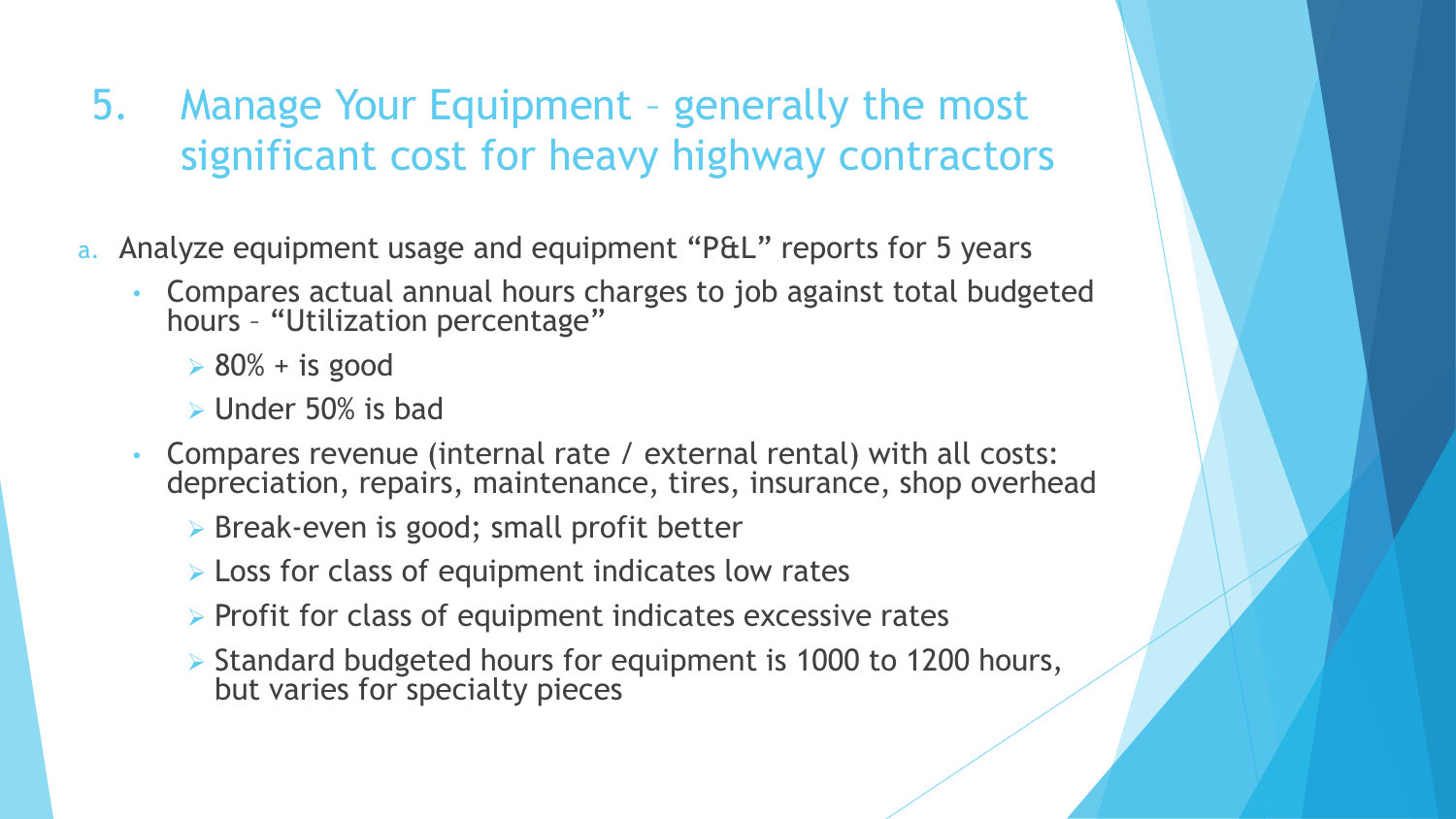5. Manage Your Equipment – generally the most significant cost for heavy highway contractors

- a. Analyze equipment usage and equipment "P&L" reports for 5 years
	- Compares actual annual hours charges to job against total budgeted hours – "Utilization percentage"
		- $\triangleright$  80% + is good
		- $\triangleright$  Under 50% is bad
	- Compares revenue (internal rate / external rental) with all costs: depreciation, repairs, maintenance, tires, insurance, shop overhead
		- ➢ Break-even is good; small profit better
		- $\triangleright$  Loss for class of equipment indicates low rates
		- ➢ Profit for class of equipment indicates excessive rates
		- ➢ Standard budgeted hours for equipment is 1000 to 1200 hours, but varies for specialty pieces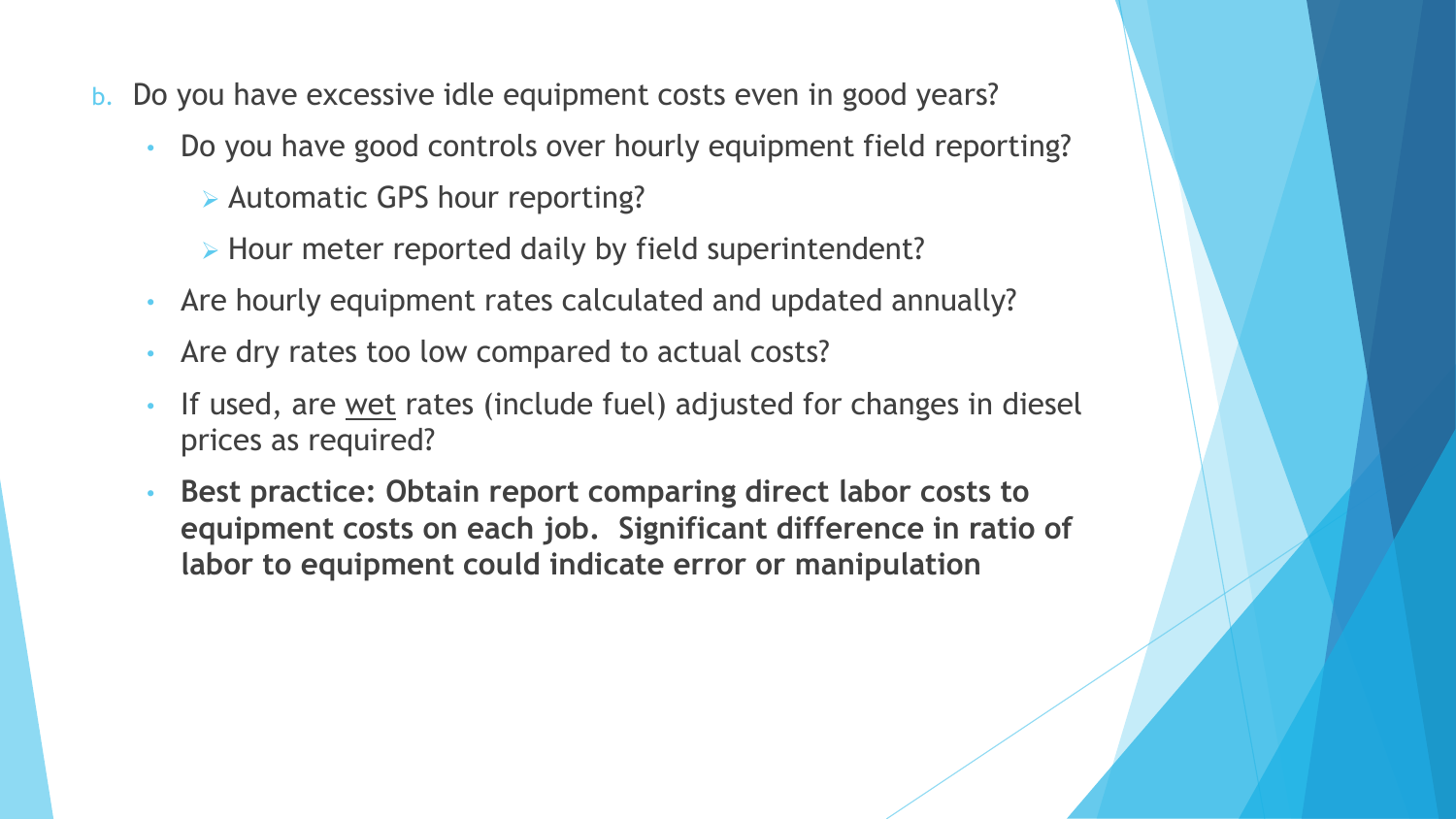- b. Do you have excessive idle equipment costs even in good years?
	- Do you have good controls over hourly equipment field reporting?
		- ➢ Automatic GPS hour reporting?
		- ➢ Hour meter reported daily by field superintendent?
	- Are hourly equipment rates calculated and updated annually?
	- Are dry rates too low compared to actual costs?
	- If used, are wet rates (include fuel) adjusted for changes in diesel prices as required?
	- **Best practice: Obtain report comparing direct labor costs to equipment costs on each job. Significant difference in ratio of labor to equipment could indicate error or manipulation**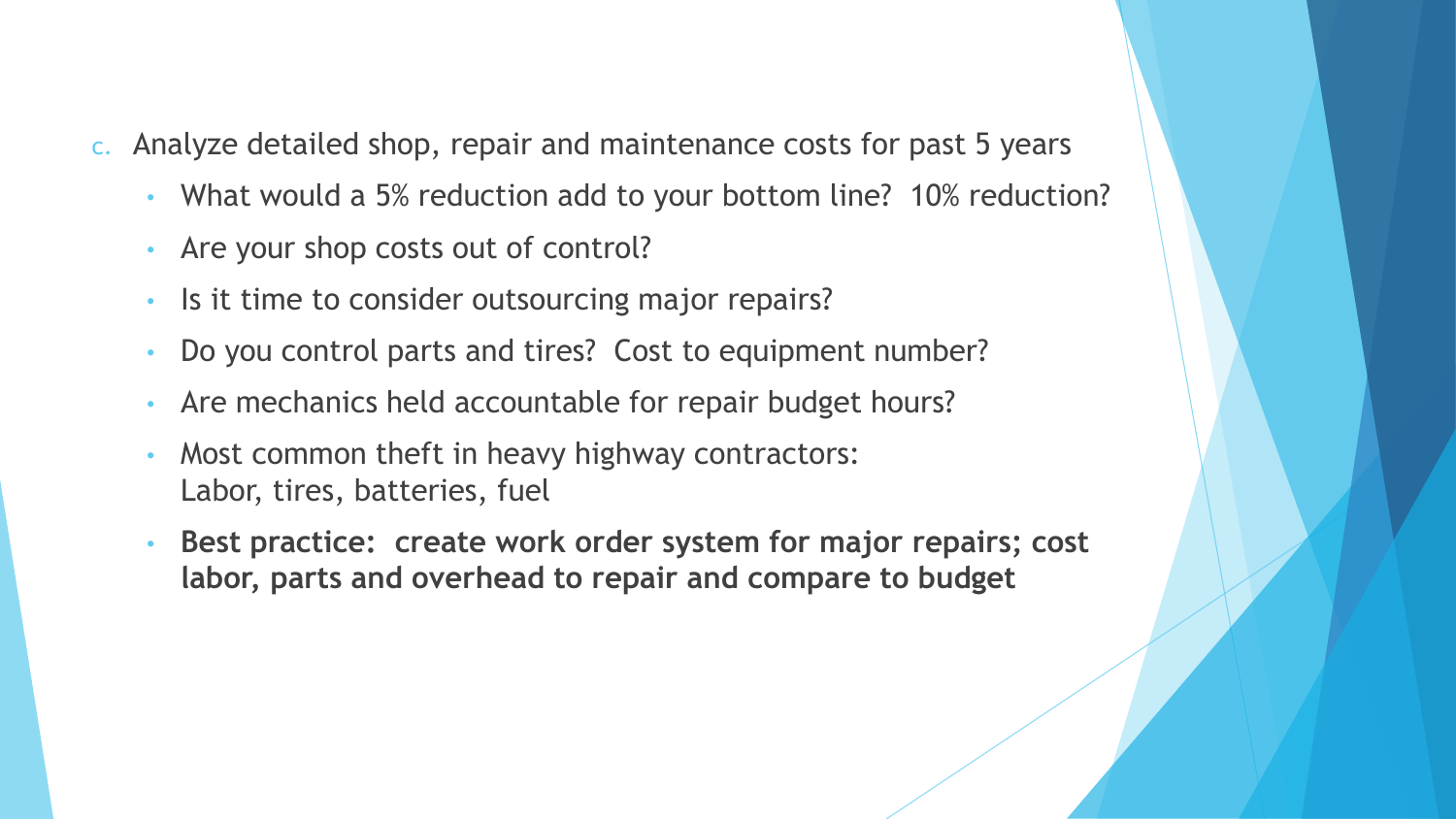- c. Analyze detailed shop, repair and maintenance costs for past 5 years
	- What would a 5% reduction add to your bottom line? 10% reduction?
	- Are your shop costs out of control?
	- Is it time to consider outsourcing major repairs?
	- Do you control parts and tires? Cost to equipment number?
	- Are mechanics held accountable for repair budget hours?
	- Most common theft in heavy highway contractors: Labor, tires, batteries, fuel
	- **Best practice: create work order system for major repairs; cost labor, parts and overhead to repair and compare to budget**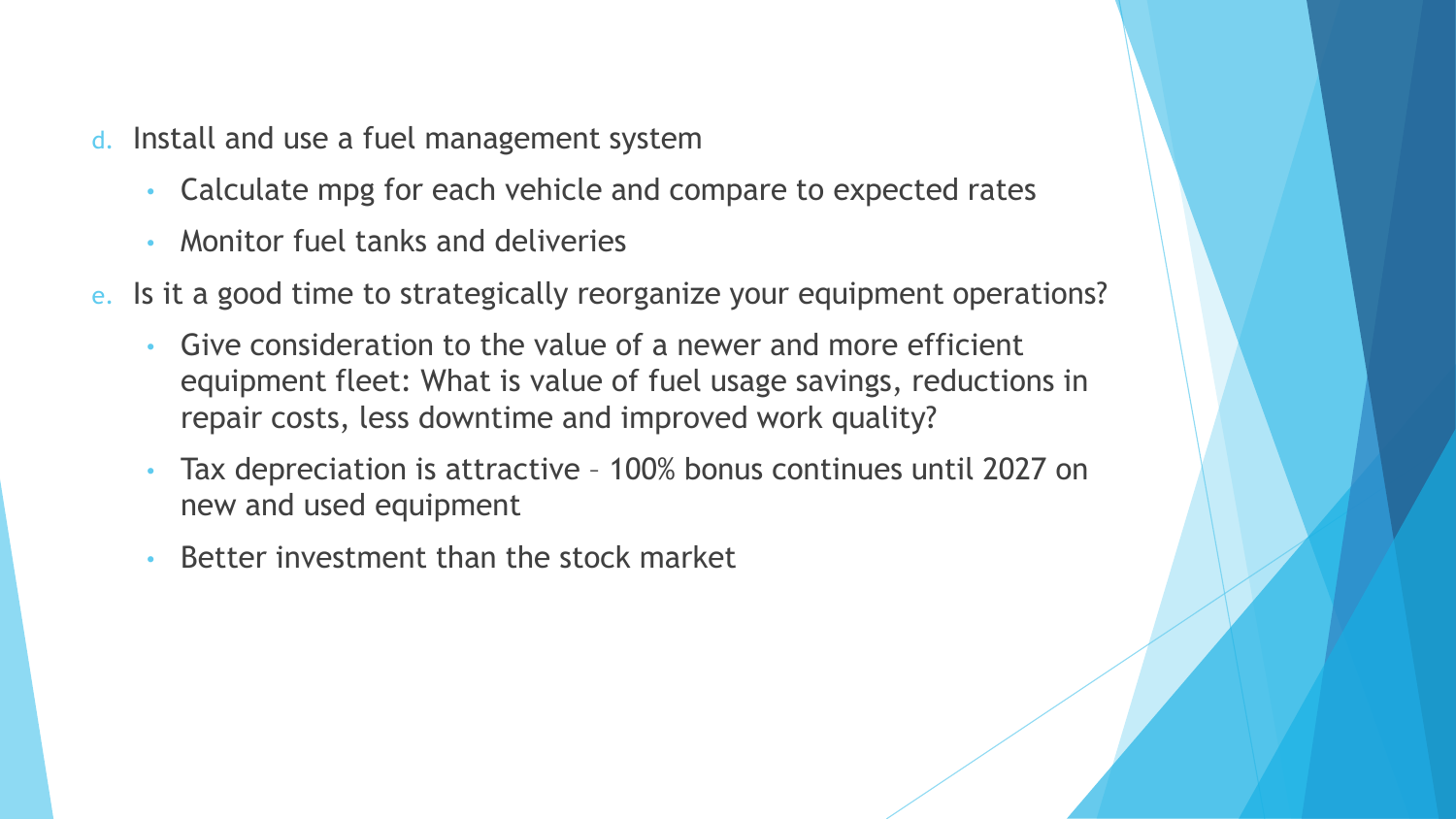- d. Install and use a fuel management system
	- Calculate mpg for each vehicle and compare to expected rates
	- Monitor fuel tanks and deliveries
- e. Is it a good time to strategically reorganize your equipment operations?
	- Give consideration to the value of a newer and more efficient equipment fleet: What is value of fuel usage savings, reductions in repair costs, less downtime and improved work quality?
	- Tax depreciation is attractive 100% bonus continues until 2027 on new and used equipment
	- Better investment than the stock market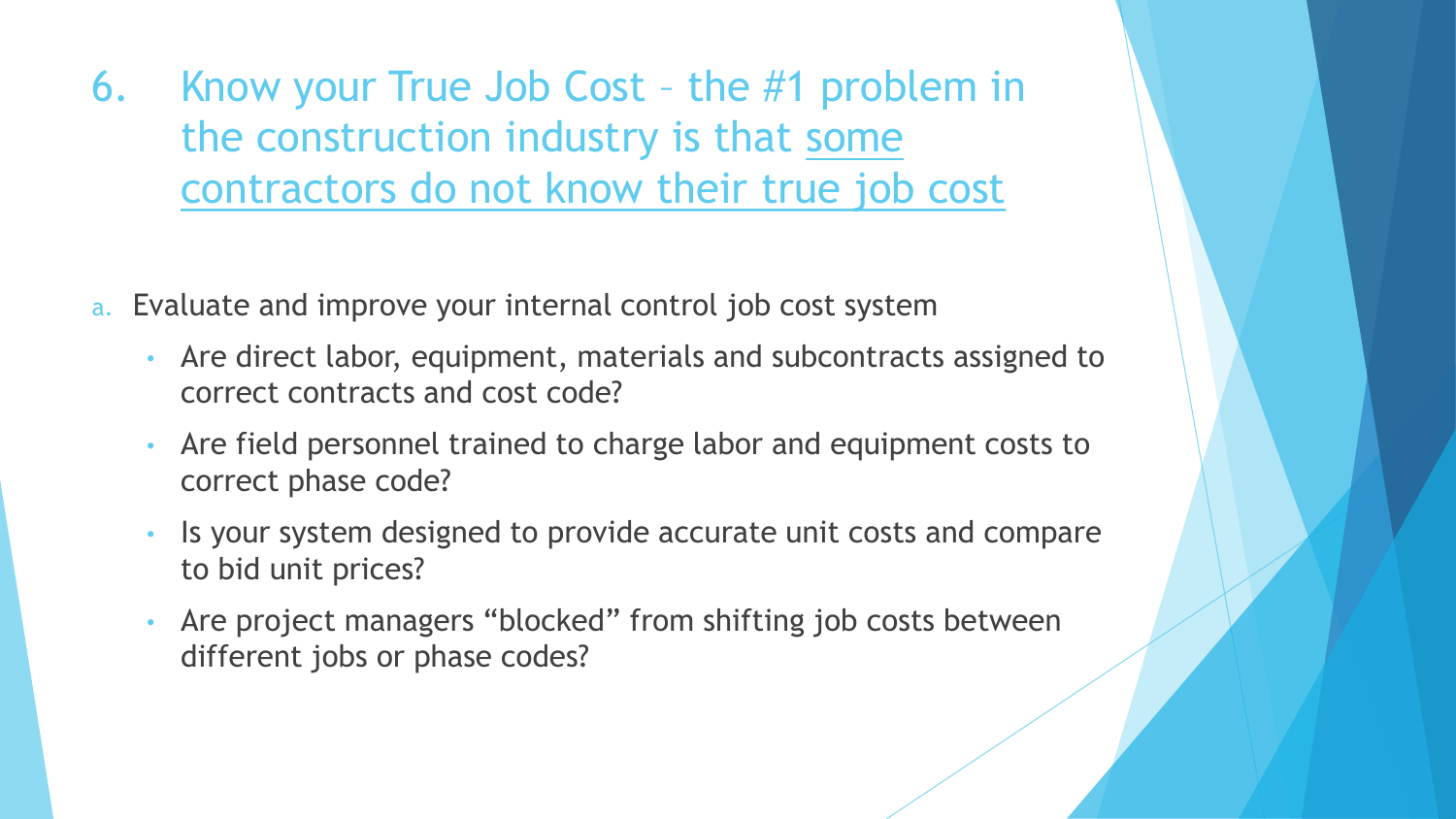6. Know your True Job Cost – the #1 problem in the construction industry is that some contractors do not know their true job cost

- a. Evaluate and improve your internal control job cost system
	- Are direct labor, equipment, materials and subcontracts assigned to correct contracts and cost code?
	- Are field personnel trained to charge labor and equipment costs to correct phase code?
	- Is your system designed to provide accurate unit costs and compare to bid unit prices?
	- Are project managers "blocked" from shifting job costs between different jobs or phase codes?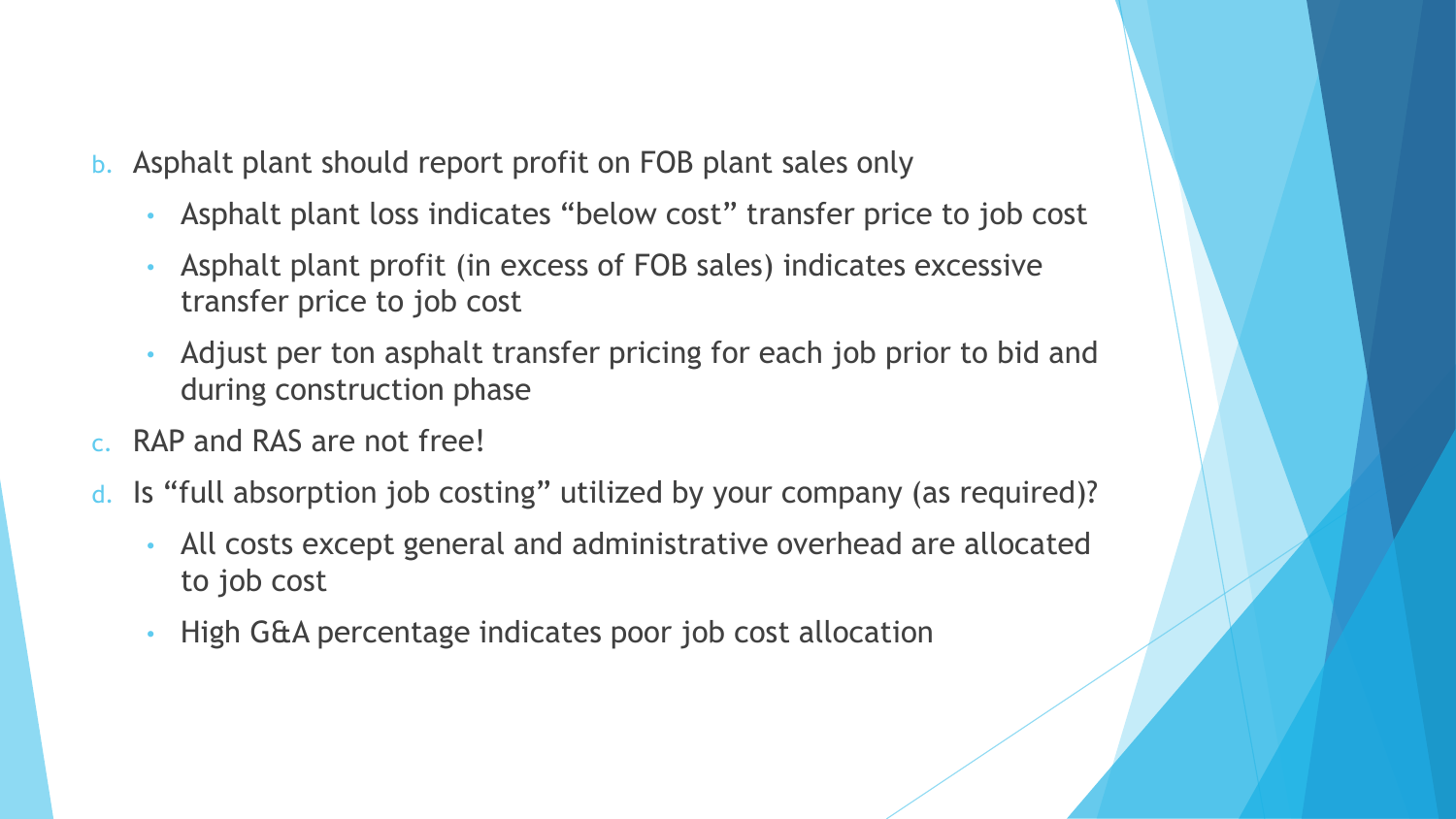- b. Asphalt plant should report profit on FOB plant sales only
	- Asphalt plant loss indicates "below cost" transfer price to job cost
	- Asphalt plant profit (in excess of FOB sales) indicates excessive transfer price to job cost
	- Adjust per ton asphalt transfer pricing for each job prior to bid and during construction phase
- c. RAP and RAS are not free!
- d. Is "full absorption job costing" utilized by your company (as required)?
	- All costs except general and administrative overhead are allocated to job cost
	- High G&A percentage indicates poor job cost allocation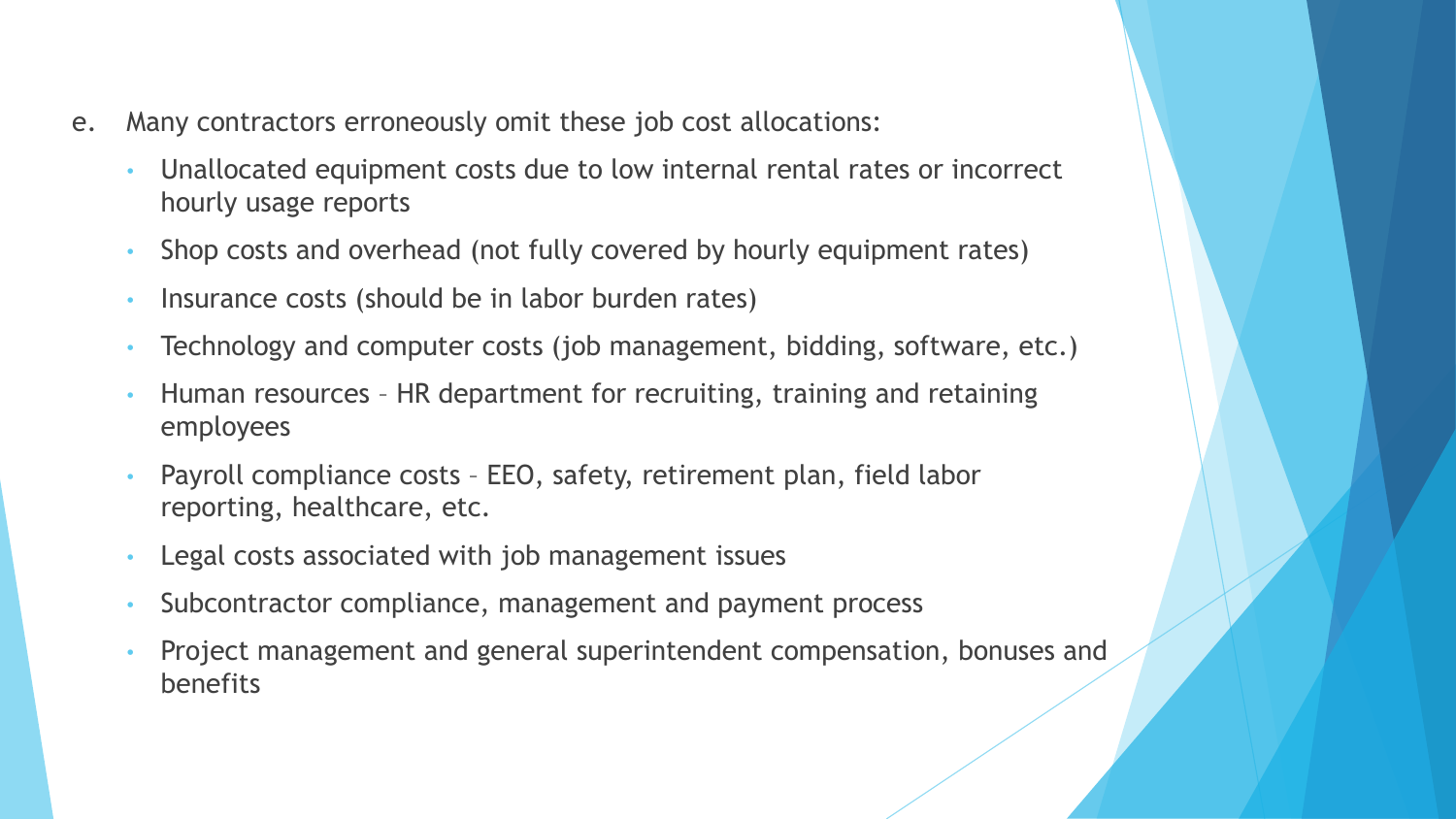- e. Many contractors erroneously omit these job cost allocations:
	- Unallocated equipment costs due to low internal rental rates or incorrect hourly usage reports
	- Shop costs and overhead (not fully covered by hourly equipment rates)
	- Insurance costs (should be in labor burden rates)
	- Technology and computer costs (job management, bidding, software, etc.)
	- Human resources HR department for recruiting, training and retaining employees
	- Payroll compliance costs EEO, safety, retirement plan, field labor reporting, healthcare, etc.
	- Legal costs associated with job management issues
	- Subcontractor compliance, management and payment process
	- Project management and general superintendent compensation, bonuses and benefits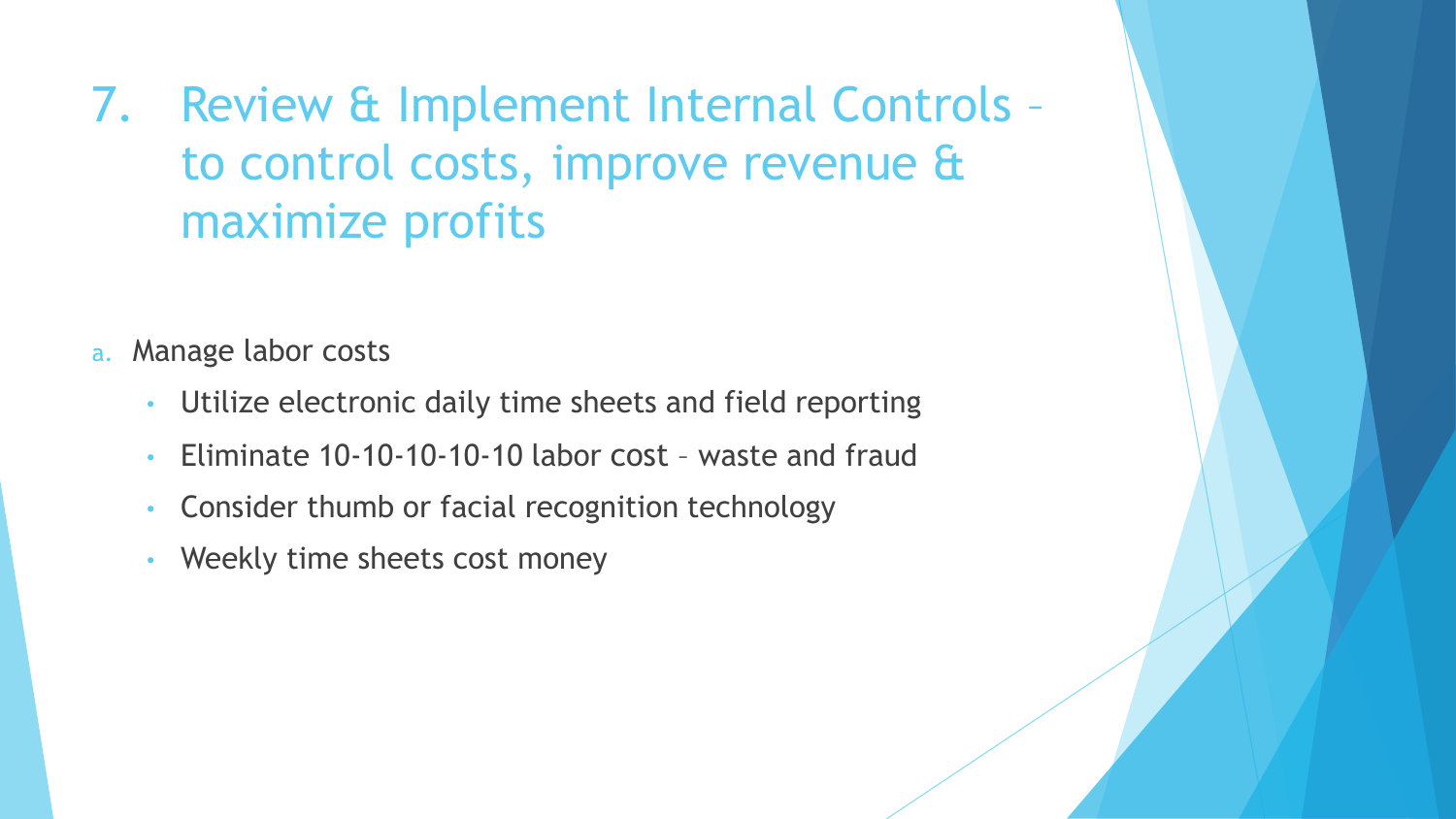7. Review & Implement Internal Controls – to control costs, improve revenue & maximize profits

- a. Manage labor costs
	- Utilize electronic daily time sheets and field reporting
	- Eliminate 10-10-10-10-10 labor cost waste and fraud
	- Consider thumb or facial recognition technology
	- Weekly time sheets cost money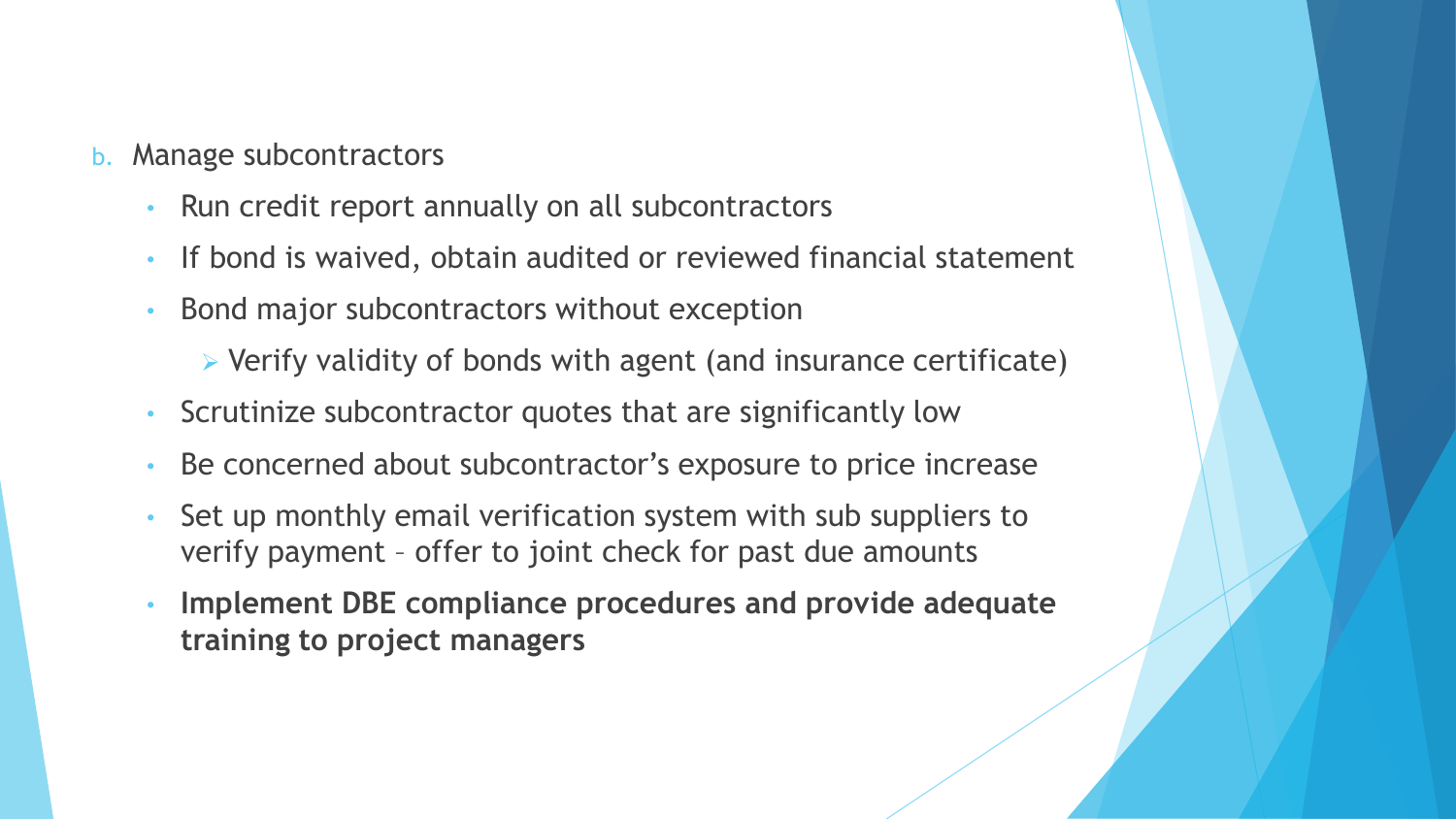- b. Manage subcontractors
	- Run credit report annually on all subcontractors
	- If bond is waived, obtain audited or reviewed financial statement
	- Bond major subcontractors without exception
		- ➢ Verify validity of bonds with agent (and insurance certificate)
	- Scrutinize subcontractor quotes that are significantly low
	- Be concerned about subcontractor's exposure to price increase
	- Set up monthly email verification system with sub suppliers to verify payment – offer to joint check for past due amounts
	- **Implement DBE compliance procedures and provide adequate training to project managers**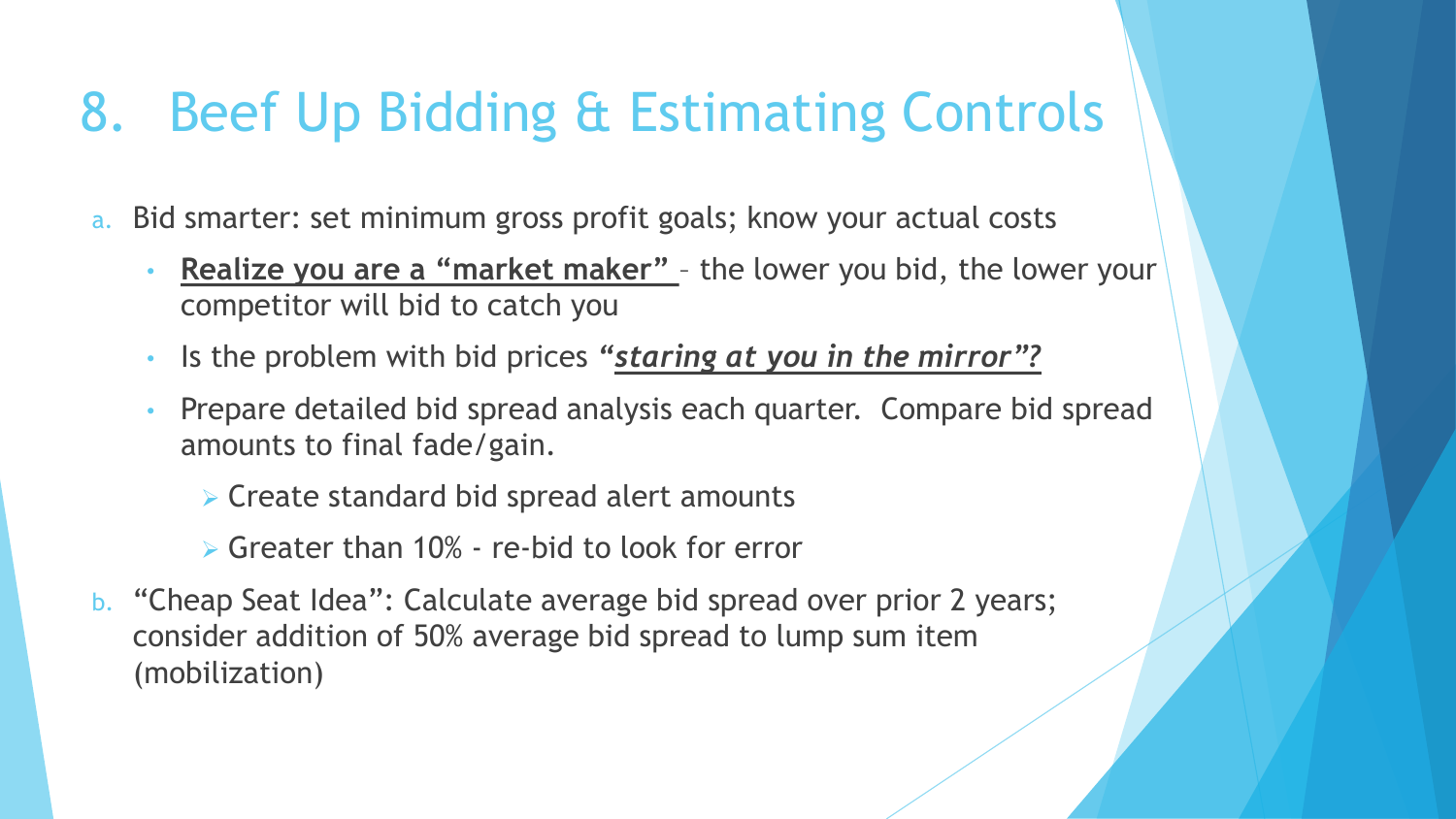#### 8. Beef Up Bidding & Estimating Controls

- a. Bid smarter: set minimum gross profit goals; know your actual costs
	- **Realize you are a "market maker"**  the lower you bid, the lower your competitor will bid to catch you
	- Is the problem with bid prices *"staring at you in the mirror"?*
	- Prepare detailed bid spread analysis each quarter. Compare bid spread amounts to final fade/gain.
		- ➢ Create standard bid spread alert amounts
		- $\triangleright$  Greater than 10% re-bid to look for error
- b. "Cheap Seat Idea": Calculate average bid spread over prior 2 years; consider addition of 50% average bid spread to lump sum item (mobilization)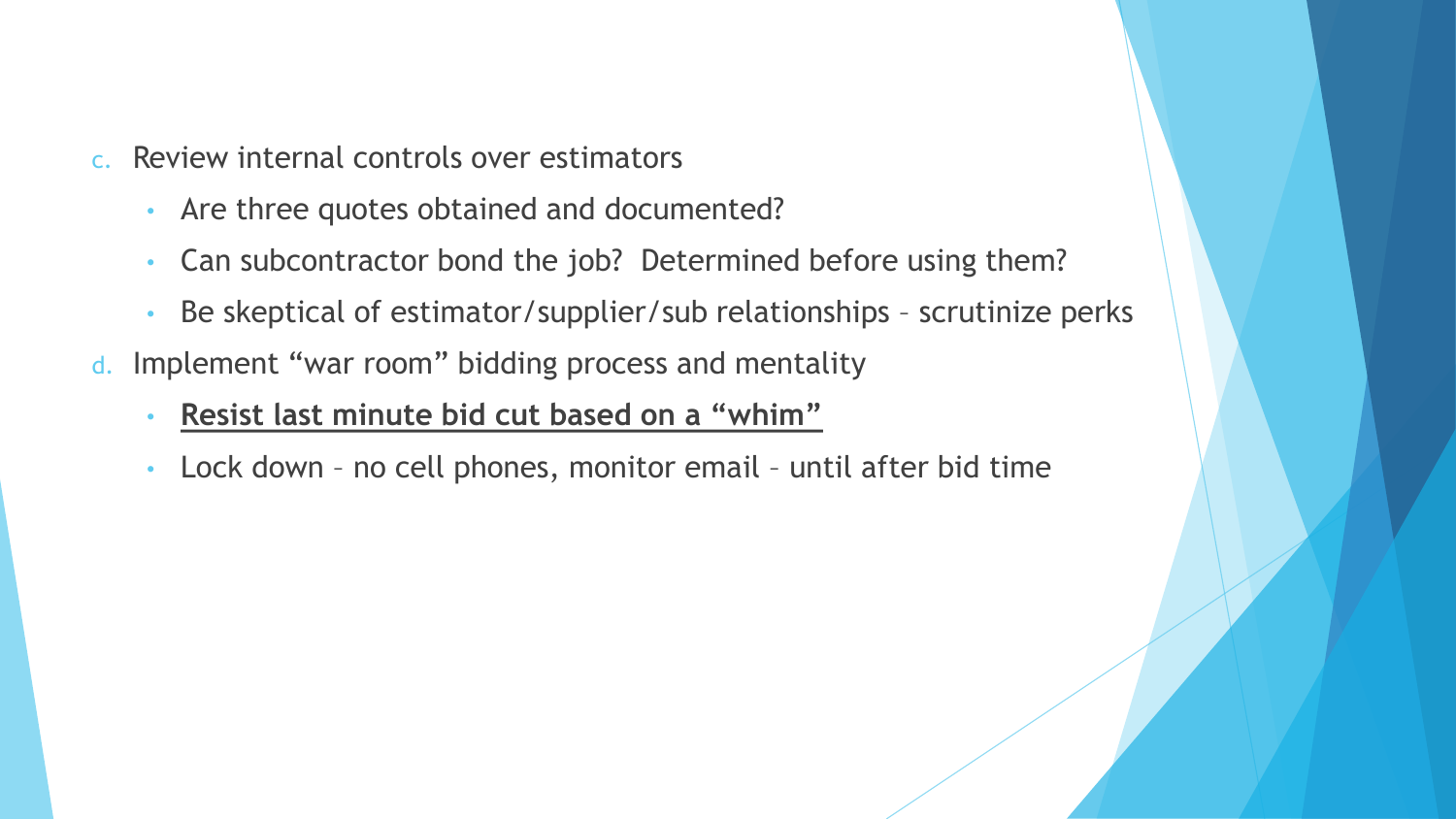- c. Review internal controls over estimators
	- Are three quotes obtained and documented?
	- Can subcontractor bond the job? Determined before using them?
	- Be skeptical of estimator/supplier/sub relationships scrutinize perks
- d. Implement "war room" bidding process and mentality
	- **Resist last minute bid cut based on a "whim"**
	- Lock down no cell phones, monitor email until after bid time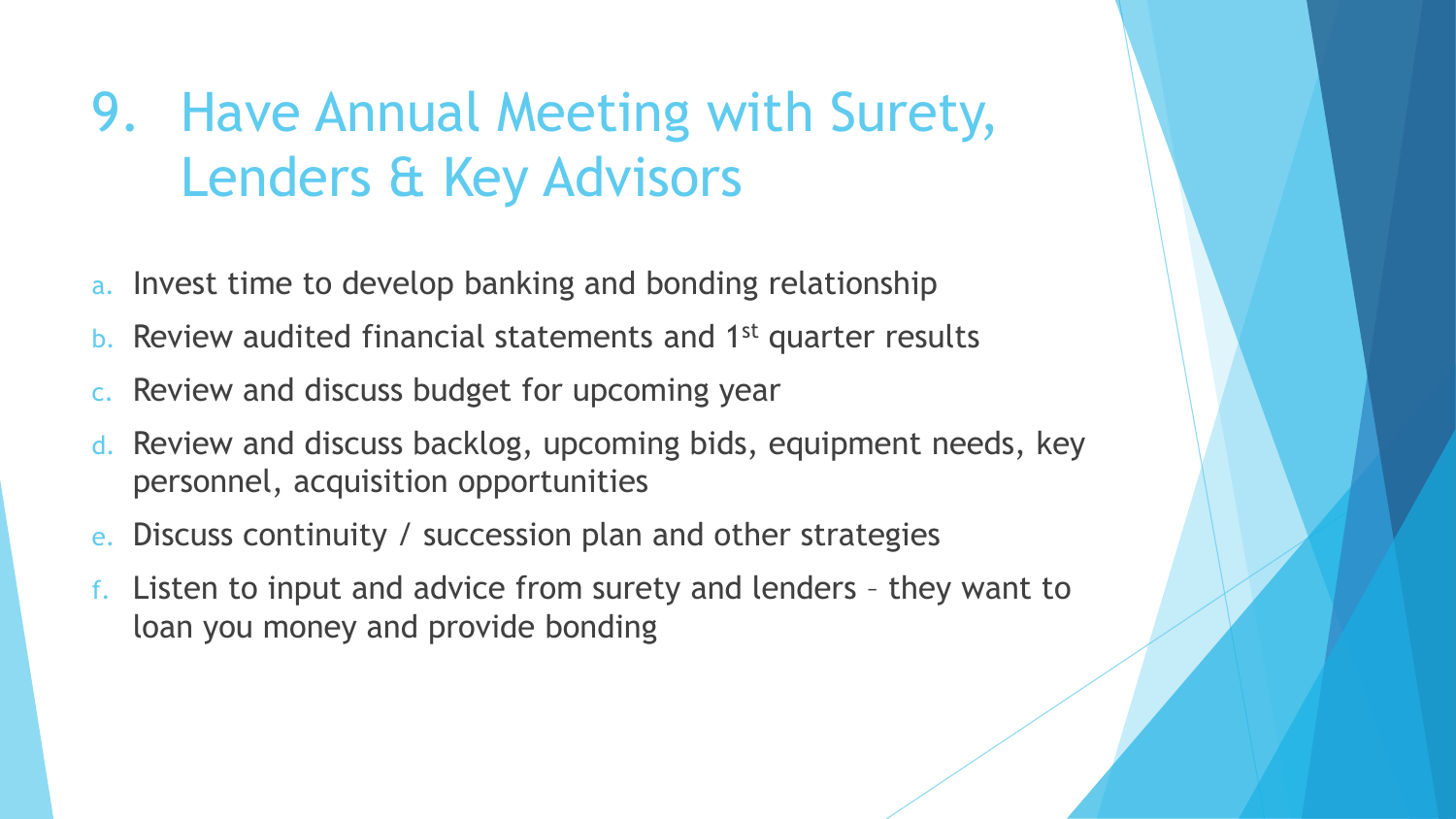### 9. Have Annual Meeting with Surety, Lenders & Key Advisors

- a. Invest time to develop banking and bonding relationship
- b. Review audited financial statements and 1st quarter results
- c. Review and discuss budget for upcoming year
- d. Review and discuss backlog, upcoming bids, equipment needs, key personnel, acquisition opportunities
- e. Discuss continuity / succession plan and other strategies
- f. Listen to input and advice from surety and lenders they want to loan you money and provide bonding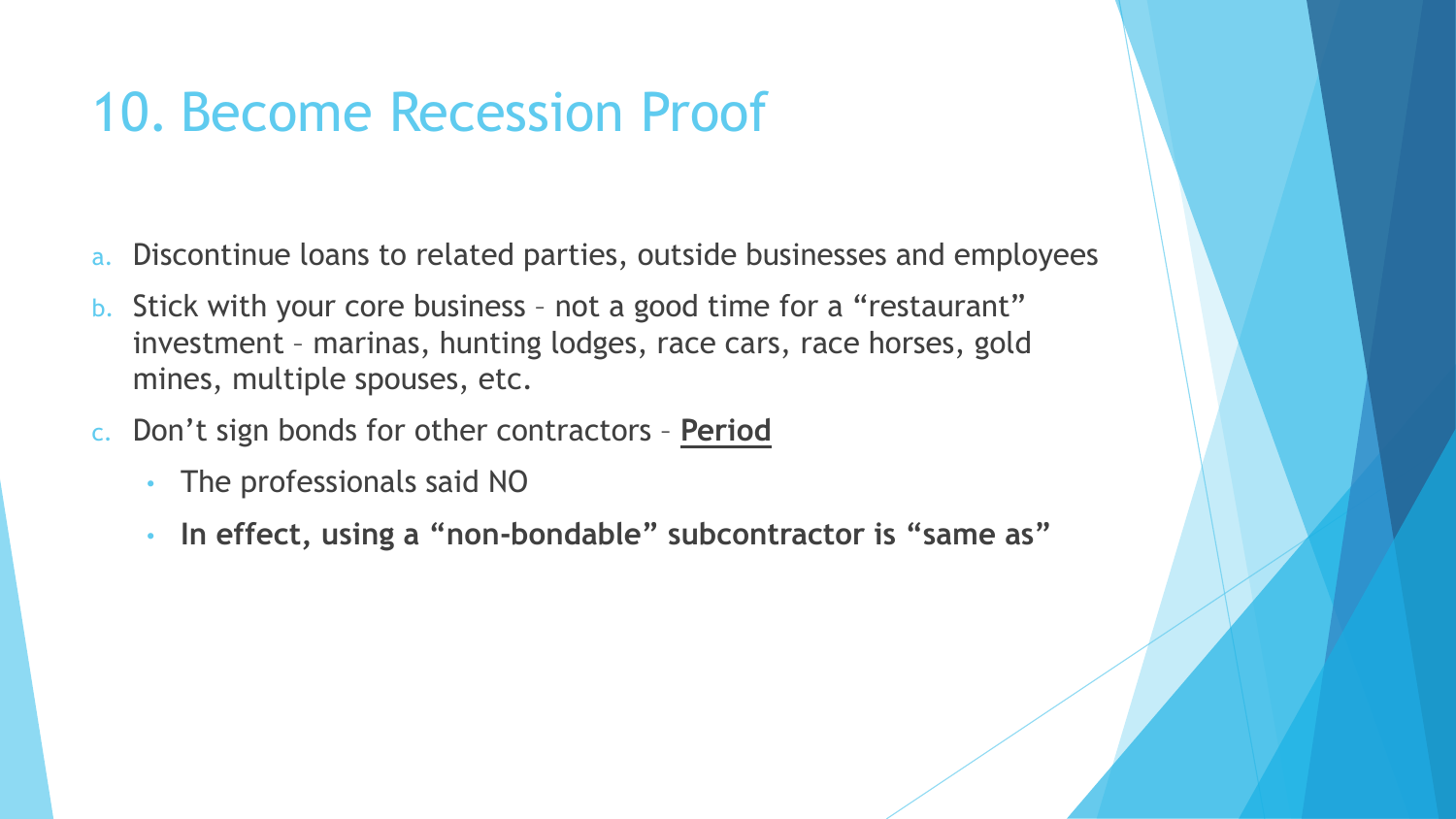#### 10. Become Recession Proof

- a. Discontinue loans to related parties, outside businesses and employees
- b. Stick with your core business not a good time for a "restaurant" investment – marinas, hunting lodges, race cars, race horses, gold mines, multiple spouses, etc.
- c. Don't sign bonds for other contractors **Period**
	- The professionals said NO
	- **In effect, using a "non-bondable" subcontractor is "same as"**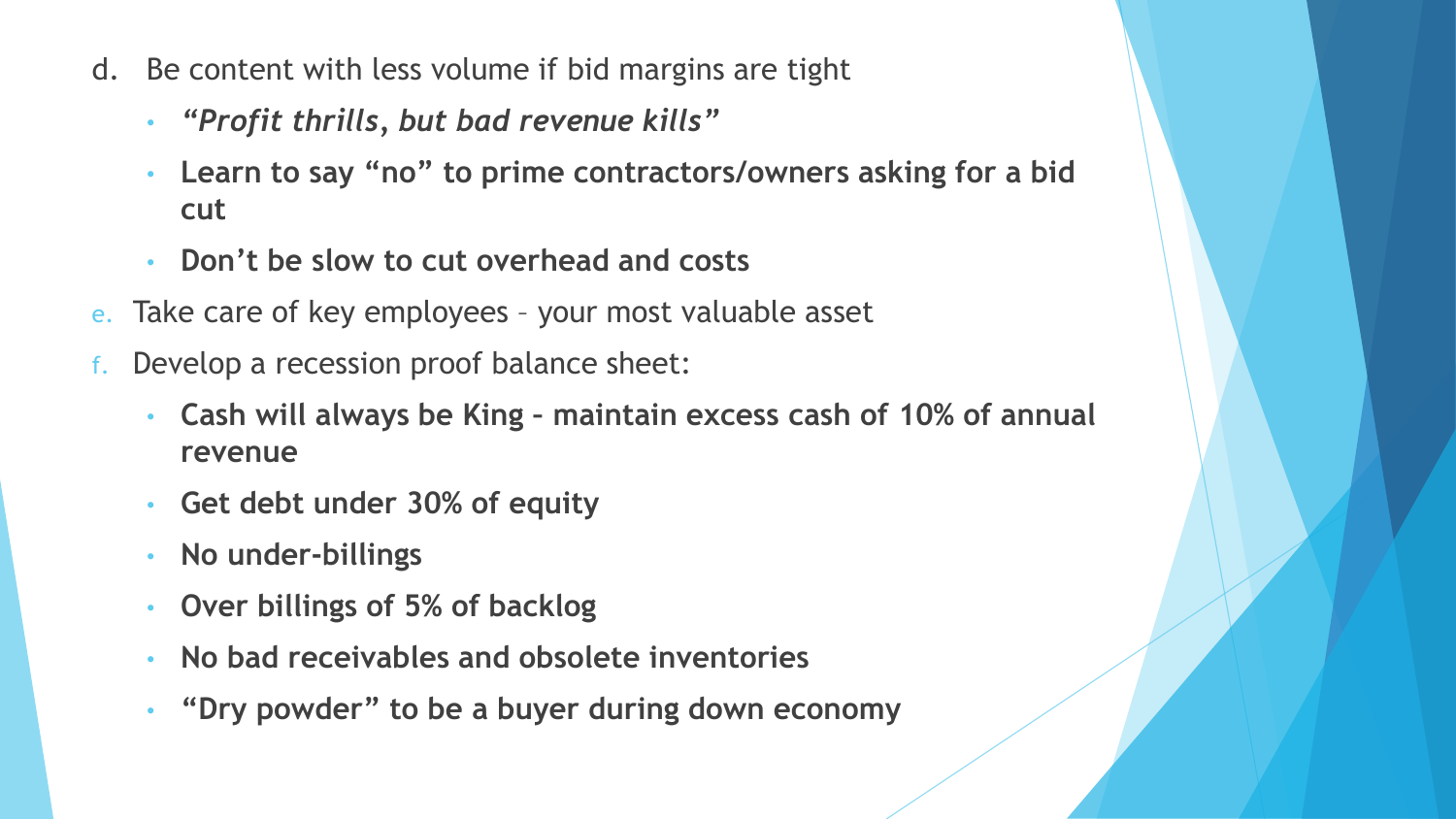- d. Be content with less volume if bid margins are tight
	- *"Profit thrills, but bad revenue kills"*
	- **Learn to say "no" to prime contractors/owners asking for a bid cut**
	- **Don't be slow to cut overhead and costs**
- e. Take care of key employees your most valuable asset
- Develop a recession proof balance sheet:
	- **Cash will always be King – maintain excess cash of 10% of annual revenue**
	- **Get debt under 30% of equity**
	- **No under-billings**
	- **Over billings of 5% of backlog**
	- **No bad receivables and obsolete inventories**
	- **"Dry powder" to be a buyer during down economy**